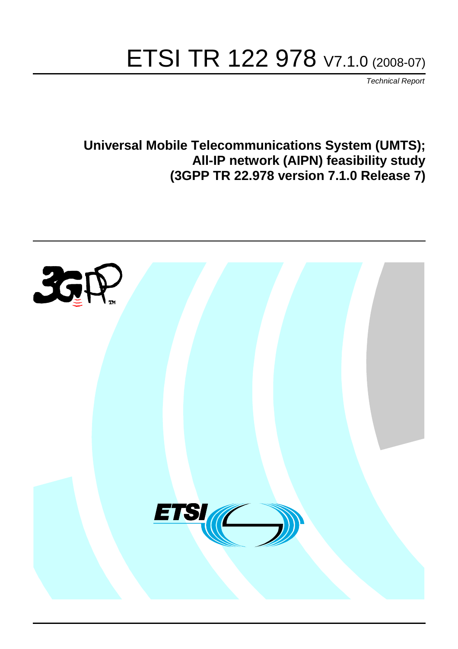# ETSI TR 122 978 V7.1.0 (2008-07)

*Technical Report*

**Universal Mobile Telecommunications System (UMTS); All-IP network (AIPN) feasibility study (3GPP TR 22.978 version 7.1.0 Release 7)**

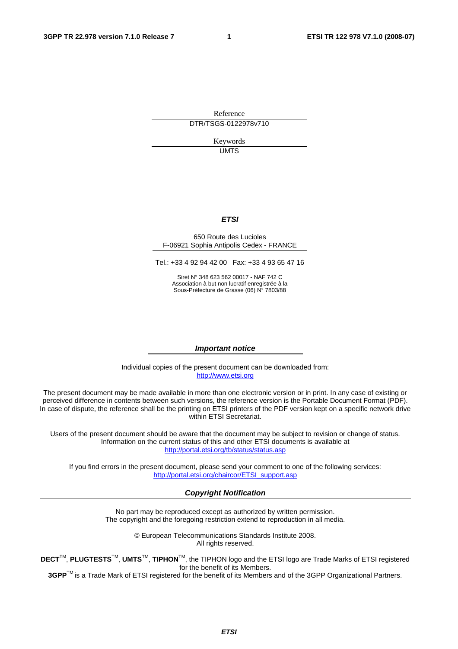Reference DTR/TSGS-0122978v710

> Keywords UMTS

### *ETSI*

#### 650 Route des Lucioles F-06921 Sophia Antipolis Cedex - FRANCE

Tel.: +33 4 92 94 42 00 Fax: +33 4 93 65 47 16

Siret N° 348 623 562 00017 - NAF 742 C Association à but non lucratif enregistrée à la Sous-Préfecture de Grasse (06) N° 7803/88

#### *Important notice*

Individual copies of the present document can be downloaded from: [http://www.etsi.org](http://www.etsi.org/)

The present document may be made available in more than one electronic version or in print. In any case of existing or perceived difference in contents between such versions, the reference version is the Portable Document Format (PDF). In case of dispute, the reference shall be the printing on ETSI printers of the PDF version kept on a specific network drive within ETSI Secretariat.

Users of the present document should be aware that the document may be subject to revision or change of status. Information on the current status of this and other ETSI documents is available at <http://portal.etsi.org/tb/status/status.asp>

If you find errors in the present document, please send your comment to one of the following services: [http://portal.etsi.org/chaircor/ETSI\\_support.asp](http://portal.etsi.org/chaircor/ETSI_support.asp)

#### *Copyright Notification*

No part may be reproduced except as authorized by written permission. The copyright and the foregoing restriction extend to reproduction in all media.

> © European Telecommunications Standards Institute 2008. All rights reserved.

**DECT**TM, **PLUGTESTS**TM, **UMTS**TM, **TIPHON**TM, the TIPHON logo and the ETSI logo are Trade Marks of ETSI registered for the benefit of its Members.

**3GPP**TM is a Trade Mark of ETSI registered for the benefit of its Members and of the 3GPP Organizational Partners.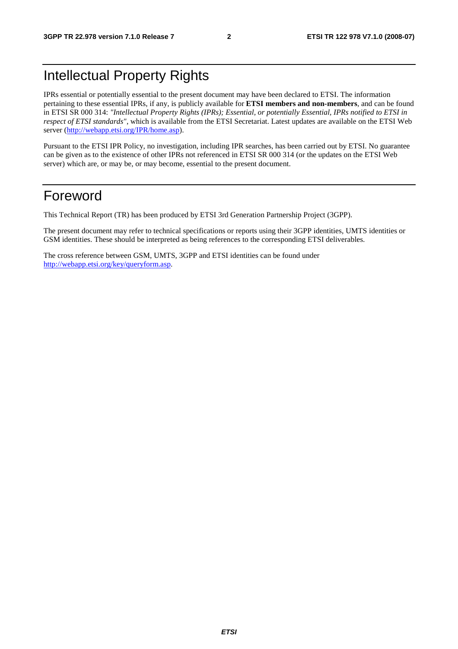## Intellectual Property Rights

IPRs essential or potentially essential to the present document may have been declared to ETSI. The information pertaining to these essential IPRs, if any, is publicly available for **ETSI members and non-members**, and can be found in ETSI SR 000 314: *"Intellectual Property Rights (IPRs); Essential, or potentially Essential, IPRs notified to ETSI in respect of ETSI standards"*, which is available from the ETSI Secretariat. Latest updates are available on the ETSI Web server ([http://webapp.etsi.org/IPR/home.asp\)](http://webapp.etsi.org/IPR/home.asp).

Pursuant to the ETSI IPR Policy, no investigation, including IPR searches, has been carried out by ETSI. No guarantee can be given as to the existence of other IPRs not referenced in ETSI SR 000 314 (or the updates on the ETSI Web server) which are, or may be, or may become, essential to the present document.

## Foreword

This Technical Report (TR) has been produced by ETSI 3rd Generation Partnership Project (3GPP).

The present document may refer to technical specifications or reports using their 3GPP identities, UMTS identities or GSM identities. These should be interpreted as being references to the corresponding ETSI deliverables.

The cross reference between GSM, UMTS, 3GPP and ETSI identities can be found under [http://webapp.etsi.org/key/queryform.asp.](http://webapp.etsi.org/key/queryform.asp)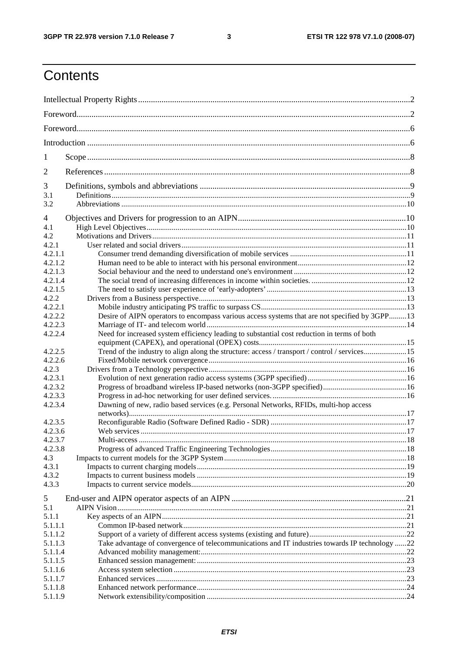$\mathbf{3}$ 

## Contents

| 1                  |                                                                                                |  |  |  |  |  |  |  |
|--------------------|------------------------------------------------------------------------------------------------|--|--|--|--|--|--|--|
| 2                  |                                                                                                |  |  |  |  |  |  |  |
| 3                  |                                                                                                |  |  |  |  |  |  |  |
| 3.1<br>3.2         |                                                                                                |  |  |  |  |  |  |  |
| 4                  |                                                                                                |  |  |  |  |  |  |  |
| 4.1                |                                                                                                |  |  |  |  |  |  |  |
| 4.2                |                                                                                                |  |  |  |  |  |  |  |
| 4.2.1              |                                                                                                |  |  |  |  |  |  |  |
| 4.2.1.1            |                                                                                                |  |  |  |  |  |  |  |
| 4.2.1.2            |                                                                                                |  |  |  |  |  |  |  |
| 4.2.1.3            |                                                                                                |  |  |  |  |  |  |  |
| 4.2.1.4            |                                                                                                |  |  |  |  |  |  |  |
| 4.2.1.5            |                                                                                                |  |  |  |  |  |  |  |
| 4.2.2              |                                                                                                |  |  |  |  |  |  |  |
| 4.2.2.1            |                                                                                                |  |  |  |  |  |  |  |
| 4.2.2.2            | Desire of AIPN operators to encompass various access systems that are not specified by 3GPP13  |  |  |  |  |  |  |  |
| 4.2.2.3            |                                                                                                |  |  |  |  |  |  |  |
| 4.2.2.4            | Need for increased system efficiency leading to substantial cost reduction in terms of both    |  |  |  |  |  |  |  |
| 4.2.2.5            | Trend of the industry to align along the structure: access / transport / control / services15  |  |  |  |  |  |  |  |
| 4.2.2.6            |                                                                                                |  |  |  |  |  |  |  |
| 4.2.3              |                                                                                                |  |  |  |  |  |  |  |
| 4.2.3.1            |                                                                                                |  |  |  |  |  |  |  |
| 4.2.3.2            |                                                                                                |  |  |  |  |  |  |  |
| 4.2.3.3            |                                                                                                |  |  |  |  |  |  |  |
| 4.2.3.4            | Dawning of new, radio based services (e.g. Personal Networks, RFIDs, multi-hop access          |  |  |  |  |  |  |  |
| 4.2.3.5            |                                                                                                |  |  |  |  |  |  |  |
| 4.2.3.6            |                                                                                                |  |  |  |  |  |  |  |
| 4.2.3.7            |                                                                                                |  |  |  |  |  |  |  |
| 4.2.3.8            |                                                                                                |  |  |  |  |  |  |  |
| 4.3                |                                                                                                |  |  |  |  |  |  |  |
| 4.3.1              |                                                                                                |  |  |  |  |  |  |  |
| 4.3.2              |                                                                                                |  |  |  |  |  |  |  |
| 4.3.3              |                                                                                                |  |  |  |  |  |  |  |
|                    |                                                                                                |  |  |  |  |  |  |  |
| 5                  |                                                                                                |  |  |  |  |  |  |  |
| 5.1                |                                                                                                |  |  |  |  |  |  |  |
| 5.1.1              |                                                                                                |  |  |  |  |  |  |  |
| 5.1.1.1            |                                                                                                |  |  |  |  |  |  |  |
| 5.1.1.2<br>5.1.1.3 | Take advantage of convergence of telecommunications and IT industries towards IP technology 22 |  |  |  |  |  |  |  |
| 5.1.1.4            |                                                                                                |  |  |  |  |  |  |  |
| 5.1.1.5            |                                                                                                |  |  |  |  |  |  |  |
| 5.1.1.6            |                                                                                                |  |  |  |  |  |  |  |
| 5.1.1.7            |                                                                                                |  |  |  |  |  |  |  |
| 5.1.1.8            |                                                                                                |  |  |  |  |  |  |  |
| 5.1.1.9            |                                                                                                |  |  |  |  |  |  |  |
|                    |                                                                                                |  |  |  |  |  |  |  |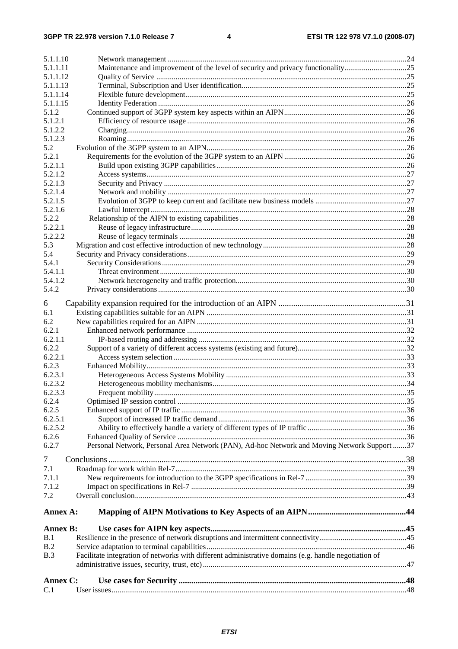| 5.1.1.10        |                                                                                                      |  |
|-----------------|------------------------------------------------------------------------------------------------------|--|
| 5.1.1.11        | Maintenance and improvement of the level of security and privacy functionality25                     |  |
| 5.1.1.12        |                                                                                                      |  |
| 5.1.1.13        |                                                                                                      |  |
| 5.1.1.14        |                                                                                                      |  |
| 5.1.1.15        |                                                                                                      |  |
| 5.1.2           |                                                                                                      |  |
| 5.1.2.1         |                                                                                                      |  |
| 5.1.2.2         |                                                                                                      |  |
| 5.1.2.3         |                                                                                                      |  |
| 5.2<br>5.2.1    |                                                                                                      |  |
| 5.2.1.1         |                                                                                                      |  |
| 5.2.1.2         |                                                                                                      |  |
| 5.2.1.3         |                                                                                                      |  |
| 5.2.1.4         |                                                                                                      |  |
| 5.2.1.5         |                                                                                                      |  |
| 5.2.1.6         |                                                                                                      |  |
| 5.2.2           |                                                                                                      |  |
| 5.2.2.1         |                                                                                                      |  |
| 5.2.2.2         |                                                                                                      |  |
| 5.3             |                                                                                                      |  |
| 5.4             |                                                                                                      |  |
| 5.4.1           |                                                                                                      |  |
| 5.4.1.1         |                                                                                                      |  |
| 5.4.1.2         |                                                                                                      |  |
| 5.4.2           |                                                                                                      |  |
| 6               |                                                                                                      |  |
| 6.1             |                                                                                                      |  |
| 6.2             |                                                                                                      |  |
| 6.2.1           |                                                                                                      |  |
| 6.2.1.1         |                                                                                                      |  |
| 6.2.2           |                                                                                                      |  |
| 6.2.2.1         |                                                                                                      |  |
| 6.2.3           |                                                                                                      |  |
| 6.2.3.1         |                                                                                                      |  |
| 6.2.3.2         |                                                                                                      |  |
| 6.2.3.3         |                                                                                                      |  |
| 6.2.4           |                                                                                                      |  |
| 6.2.5           |                                                                                                      |  |
| 6.2.5.1         |                                                                                                      |  |
| 6.2.5.2         |                                                                                                      |  |
| 6.2.6           |                                                                                                      |  |
| 6.2.7           | Personal Network, Personal Area Network (PAN), Ad-hoc Network and Moving Network Support 37          |  |
| 7               |                                                                                                      |  |
| 7.1             |                                                                                                      |  |
| 7.1.1           |                                                                                                      |  |
| 7.1.2           |                                                                                                      |  |
| 7.2             |                                                                                                      |  |
|                 |                                                                                                      |  |
| Annex A:        |                                                                                                      |  |
|                 |                                                                                                      |  |
| <b>Annex B:</b> |                                                                                                      |  |
| B.1             |                                                                                                      |  |
| B.2             |                                                                                                      |  |
| B.3             | Facilitate integration of networks with different administrative domains (e.g. handle negotiation of |  |
|                 |                                                                                                      |  |
| Annex C:        |                                                                                                      |  |
| C.1             |                                                                                                      |  |
|                 |                                                                                                      |  |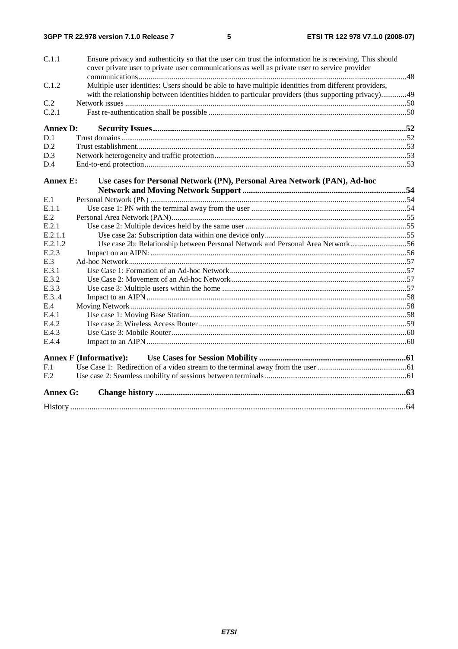| <b>Annex G:</b>  |                                                                                                         |  |
|------------------|---------------------------------------------------------------------------------------------------------|--|
| F.2              |                                                                                                         |  |
| F.1              |                                                                                                         |  |
|                  | <b>Annex F</b> (Informative):                                                                           |  |
|                  |                                                                                                         |  |
| E.4.4            |                                                                                                         |  |
| E.4.3            |                                                                                                         |  |
| E.4.2            |                                                                                                         |  |
| E.4.1            |                                                                                                         |  |
| E.4              |                                                                                                         |  |
| E.3.4            |                                                                                                         |  |
| E.3.3            |                                                                                                         |  |
| E.3.2            |                                                                                                         |  |
| E.3.1            |                                                                                                         |  |
| E.3              |                                                                                                         |  |
| E.2.3            |                                                                                                         |  |
| E.2.1.2          | Use case 2b: Relationship between Personal Network and Personal Area Network56                          |  |
| E.2.1<br>E.2.1.1 |                                                                                                         |  |
|                  |                                                                                                         |  |
| E.2              |                                                                                                         |  |
| E.1.1            |                                                                                                         |  |
| E.1              |                                                                                                         |  |
| <b>Annex E:</b>  | Use cases for Personal Network (PN), Personal Area Network (PAN), Ad-hoc                                |  |
| D.4              |                                                                                                         |  |
| D.3              |                                                                                                         |  |
| D.2              |                                                                                                         |  |
| D.1              |                                                                                                         |  |
| <b>Annex D:</b>  |                                                                                                         |  |
| C.2.1            |                                                                                                         |  |
| C.2              |                                                                                                         |  |
|                  | with the relationship between identities hidden to particular providers (thus supporting privacy)49     |  |
| C.1.2            | Multiple user identities: Users should be able to have multiple identities from different providers,    |  |
|                  | cover private user to private user communications as well as private user to service provider           |  |
|                  | Ensure privacy and authenticity so that the user can trust the information he is receiving. This should |  |
| C.1.1            |                                                                                                         |  |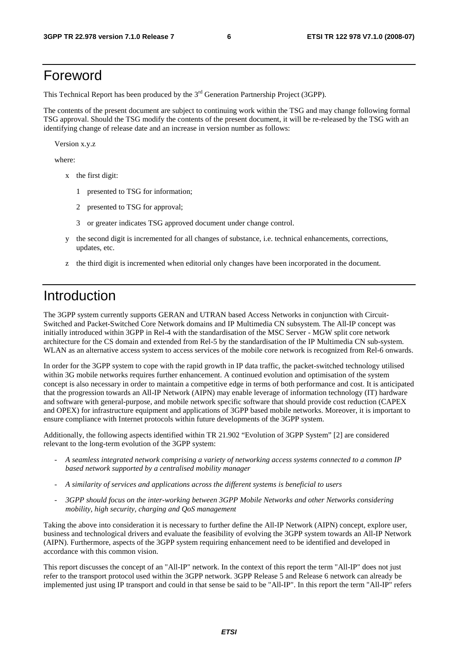## Foreword

This Technical Report has been produced by the  $3<sup>rd</sup>$  Generation Partnership Project (3GPP).

The contents of the present document are subject to continuing work within the TSG and may change following formal TSG approval. Should the TSG modify the contents of the present document, it will be re-released by the TSG with an identifying change of release date and an increase in version number as follows:

Version x.y.z

where:

- x the first digit:
	- 1 presented to TSG for information;
	- 2 presented to TSG for approval;
	- 3 or greater indicates TSG approved document under change control.
- y the second digit is incremented for all changes of substance, i.e. technical enhancements, corrections, updates, etc.
- z the third digit is incremented when editorial only changes have been incorporated in the document.

## Introduction

The 3GPP system currently supports GERAN and UTRAN based Access Networks in conjunction with Circuit-Switched and Packet-Switched Core Network domains and IP Multimedia CN subsystem. The All-IP concept was initially introduced within 3GPP in Rel-4 with the standardisation of the MSC Server - MGW split core network architecture for the CS domain and extended from Rel-5 by the standardisation of the IP Multimedia CN sub-system. WLAN as an alternative access system to access services of the mobile core network is recognized from Rel-6 onwards.

In order for the 3GPP system to cope with the rapid growth in IP data traffic, the packet-switched technology utilised within 3G mobile networks requires further enhancement. A continued evolution and optimisation of the system concept is also necessary in order to maintain a competitive edge in terms of both performance and cost. It is anticipated that the progression towards an All-IP Network (AIPN) may enable leverage of information technology (IT) hardware and software with general-purpose, and mobile network specific software that should provide cost reduction (CAPEX and OPEX) for infrastructure equipment and applications of 3GPP based mobile networks. Moreover, it is important to ensure compliance with Internet protocols within future developments of the 3GPP system.

Additionally, the following aspects identified within TR 21.902 "Evolution of 3GPP System" [2] are considered relevant to the long-term evolution of the 3GPP system:

- *A seamless integrated network comprising a variety of networking access systems connected to a common IP based network supported by a centralised mobility manager*
- *A similarity of services and applications across the different systems is beneficial to users*
- *3GPP should focus on the inter-working between 3GPP Mobile Networks and other Networks considering mobility, high security, charging and QoS management*

Taking the above into consideration it is necessary to further define the All-IP Network (AIPN) concept, explore user, business and technological drivers and evaluate the feasibility of evolving the 3GPP system towards an All-IP Network (AIPN). Furthermore, aspects of the 3GPP system requiring enhancement need to be identified and developed in accordance with this common vision.

This report discusses the concept of an "All-IP" network. In the context of this report the term "All-IP" does not just refer to the transport protocol used within the 3GPP network. 3GPP Release 5 and Release 6 network can already be implemented just using IP transport and could in that sense be said to be "All-IP". In this report the term "All-IP" refers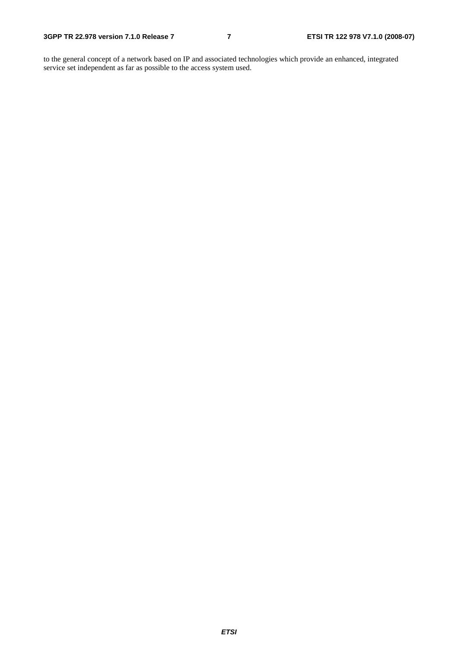to the general concept of a network based on IP and associated technologies which provide an enhanced, integrated service set independent as far as possible to the access system used.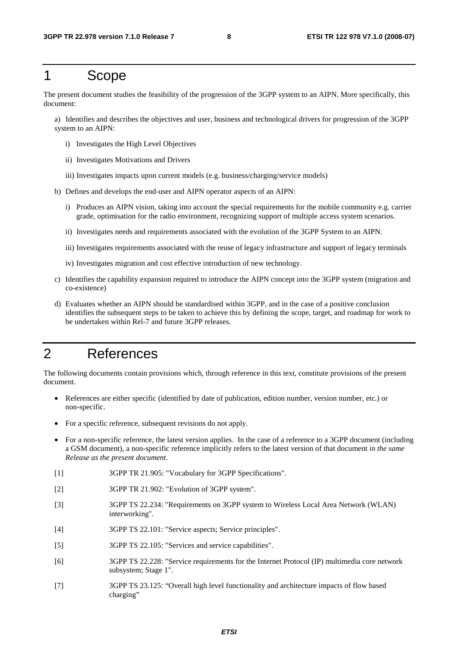## 1 Scope

The present document studies the feasibility of the progression of the 3GPP system to an AIPN. More specifically, this document:

a) Identifies and describes the objectives and user, business and technological drivers for progression of the 3GPP system to an AIPN:

- i) Investigates the High Level Objectives
- ii) Investigates Motivations and Drivers
- iii) Investigates impacts upon current models (e.g. business/charging/service models)
- b) Defines and develops the end-user and AIPN operator aspects of an AIPN:
	- i) Produces an AIPN vision, taking into account the special requirements for the mobile community e.g. carrier grade, optimisation for the radio environment, recognizing support of multiple access system scenarios.
	- ii) Investigates needs and requirements associated with the evolution of the 3GPP System to an AIPN.
	- iii) Investigates requirements associated with the reuse of legacy infrastructure and support of legacy terminals
	- iv) Investigates migration and cost effective introduction of new technology.
- c) Identifies the capability expansion required to introduce the AIPN concept into the 3GPP system (migration and co-existence)
- d) Evaluates whether an AIPN should be standardised within 3GPP, and in the case of a positive conclusion identifies the subsequent steps to be taken to achieve this by defining the scope, target, and roadmap for work to be undertaken within Rel-7 and future 3GPP releases.

## 2 References

The following documents contain provisions which, through reference in this text, constitute provisions of the present document.

- References are either specific (identified by date of publication, edition number, version number, etc.) or non-specific.
- For a specific reference, subsequent revisions do not apply.
- For a non-specific reference, the latest version applies. In the case of a reference to a 3GPP document (including a GSM document), a non-specific reference implicitly refers to the latest version of that document *in the same Release as the present document*.
- [1] 3GPP TR 21.905: "Vocabulary for 3GPP Specifications".
- [2] 3GPP TR 21.902: "Evolution of 3GPP system".
- [3] 3GPP TS 22.234: "Requirements on 3GPP system to Wireless Local Area Network (WLAN) interworking".
- [4] 3GPP TS 22.101: "Service aspects; Service principles".
- [5] 3GPP TS 22.105: "Services and service capabilities".
- [6] 3GPP TS 22.228: "Service requirements for the Internet Protocol (IP) multimedia core network subsystem; Stage 1".
- [7] 3GPP TS 23.125: "Overall high level functionality and architecture impacts of flow based charging"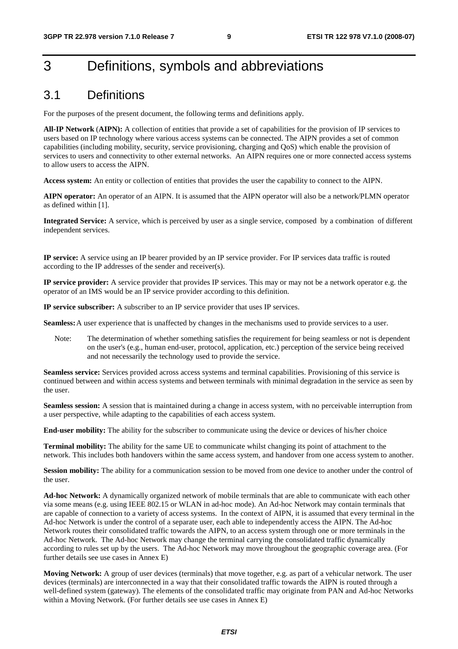## 3 Definitions, symbols and abbreviations

## 3.1 Definitions

For the purposes of the present document, the following terms and definitions apply.

**All-IP Network** (**AIPN):** A collection of entities that provide a set of capabilities for the provision of IP services to users based on IP technology where various access systems can be connected. The AIPN provides a set of common capabilities (including mobility, security, service provisioning, charging and QoS) which enable the provision of services to users and connectivity to other external networks. An AIPN requires one or more connected access systems to allow users to access the AIPN.

**Access system:** An entity or collection of entities that provides the user the capability to connect to the AIPN.

**AIPN operator:** An operator of an AIPN. It is assumed that the AIPN operator will also be a network/PLMN operator as defined within [1].

**Integrated Service:** A service, which is perceived by user as a single service, composed by a combination of different independent services.

**IP service:** A service using an IP bearer provided by an IP service provider. For IP services data traffic is routed according to the IP addresses of the sender and receiver(s).

**IP service provider:** A service provider that provides IP services. This may or may not be a network operator e.g. the operator of an IMS would be an IP service provider according to this definition.

**IP service subscriber:** A subscriber to an IP service provider that uses IP services.

**Seamless:** A user experience that is unaffected by changes in the mechanisms used to provide services to a user.

Note: The determination of whether something satisfies the requirement for being seamless or not is dependent on the user's (e.g., human end-user, protocol, application, etc.) perception of the service being received and not necessarily the technology used to provide the service.

**Seamless service:** Services provided across access systems and terminal capabilities. Provisioning of this service is continued between and within access systems and between terminals with minimal degradation in the service as seen by the user.

**Seamless session:** A session that is maintained during a change in access system, with no perceivable interruption from a user perspective, while adapting to the capabilities of each access system.

**End-user mobility:** The ability for the subscriber to communicate using the device or devices of his/her choice

**Terminal mobility:** The ability for the same UE to communicate whilst changing its point of attachment to the network. This includes both handovers within the same access system, and handover from one access system to another.

**Session mobility:** The ability for a communication session to be moved from one device to another under the control of the user.

**Ad-hoc Network:** A dynamically organized network of mobile terminals that are able to communicate with each other via some means (e.g. using IEEE 802.15 or WLAN in ad-hoc mode). An Ad-hoc Network may contain terminals that are capable of connection to a variety of access systems. In the context of AIPN, it is assumed that every terminal in the Ad-hoc Network is under the control of a separate user, each able to independently access the AIPN. The Ad-hoc Network routes their consolidated traffic towards the AIPN, to an access system through one or more terminals in the Ad-hoc Network. The Ad-hoc Network may change the terminal carrying the consolidated traffic dynamically according to rules set up by the users. The Ad-hoc Network may move throughout the geographic coverage area. (For further details see use cases in Annex E)

**Moving Network:** A group of user devices (terminals) that move together, e.g. as part of a vehicular network. The user devices (terminals) are interconnected in a way that their consolidated traffic towards the AIPN is routed through a well-defined system (gateway). The elements of the consolidated traffic may originate from PAN and Ad-hoc Networks within a Moving Network. (For further details see use cases in Annex E)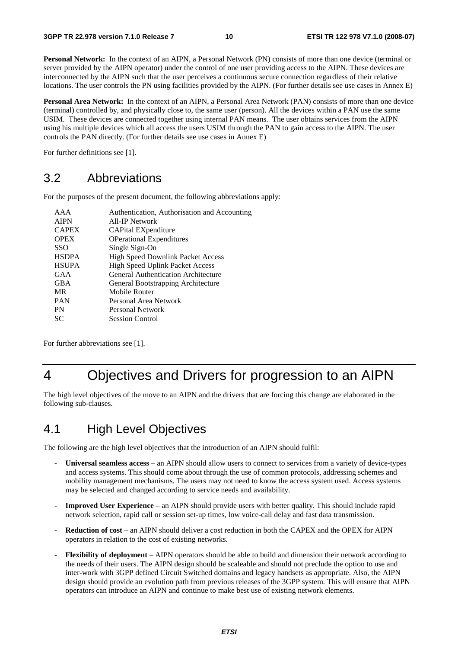**Personal Network:** In the context of an AIPN, a Personal Network (PN) consists of more than one device (terminal or server provided by the AIPN operator) under the control of one user providing access to the AIPN. These devices are interconnected by the AIPN such that the user perceives a continuous secure connection regardless of their relative locations. The user controls the PN using facilities provided by the AIPN. (For further details see use cases in Annex E)

**Personal Area Network:** In the context of an AIPN, a Personal Area Network (PAN) consists of more than one device (terminal) controlled by, and physically close to, the same user (person). All the devices within a PAN use the same USIM. These devices are connected together using internal PAN means. The user obtains services from the AIPN using his multiple devices which all access the users USIM through the PAN to gain access to the AIPN. The user controls the PAN directly. (For further details see use cases in Annex E)

For further definitions see [1].

## 3.2 Abbreviations

For the purposes of the present document, the following abbreviations apply:

| AAA          | Authentication, Authorisation and Accounting |
|--------------|----------------------------------------------|
| <b>AIPN</b>  | All-IP Network                               |
| <b>CAPEX</b> | CAPital EXpenditure                          |
| <b>OPEX</b>  | <b>OPerational Expenditures</b>              |
| <b>SSO</b>   | Single Sign-On                               |
| <b>HSDPA</b> | <b>High Speed Downlink Packet Access</b>     |
| <b>HSUPA</b> | <b>High Speed Uplink Packet Access</b>       |
| GAA          | <b>General Authentication Architecture</b>   |
| <b>GBA</b>   | General Bootstrapping Architecture           |
| MR           | Mobile Router                                |
| <b>PAN</b>   | Personal Area Network                        |
| PN           | Personal Network                             |
| SС           | <b>Session Control</b>                       |
|              |                                              |

For further abbreviations see [1].

## 4 Objectives and Drivers for progression to an AIPN

The high level objectives of the move to an AIPN and the drivers that are forcing this change are elaborated in the following sub-clauses.

## 4.1 High Level Objectives

The following are the high level objectives that the introduction of an AIPN should fulfil:

- **Universal seamless access** an AIPN should allow users to connect to services from a variety of device-types and access systems. This should come about through the use of common protocols, addressing schemes and mobility management mechanisms. The users may not need to know the access system used. Access systems may be selected and changed according to service needs and availability.
- **Improved User Experience**  an AIPN should provide users with better quality. This should include rapid network selection, rapid call or session set-up times, low voice-call delay and fast data transmission.
- **Reduction of cost** an AIPN should deliver a cost reduction in both the CAPEX and the OPEX for AIPN operators in relation to the cost of existing networks.
- **Flexibility of deployment** AIPN operators should be able to build and dimension their network according to the needs of their users. The AIPN design should be scaleable and should not preclude the option to use and inter-work with 3GPP defined Circuit Switched domains and legacy handsets as appropriate. Also, the AIPN design should provide an evolution path from previous releases of the 3GPP system. This will ensure that AIPN operators can introduce an AIPN and continue to make best use of existing network elements.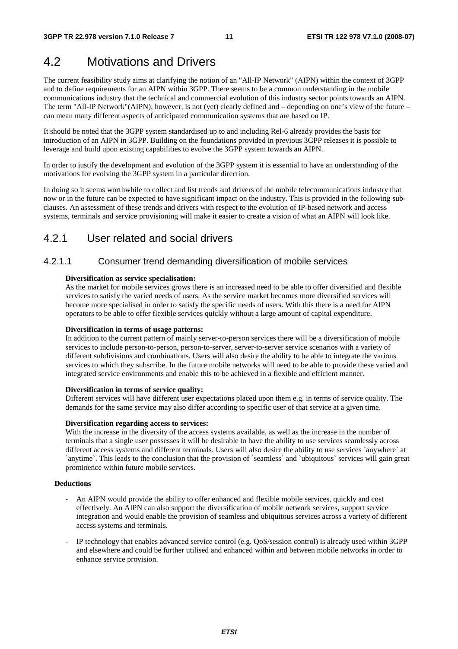## 4.2 Motivations and Drivers

The current feasibility study aims at clarifying the notion of an "All-IP Network" (AIPN) within the context of 3GPP and to define requirements for an AIPN within 3GPP. There seems to be a common understanding in the mobile communications industry that the technical and commercial evolution of this industry sector points towards an AIPN. The term "All-IP Network"(AIPN), however, is not (yet) clearly defined and – depending on one's view of the future – can mean many different aspects of anticipated communication systems that are based on IP.

It should be noted that the 3GPP system standardised up to and including Rel-6 already provides the basis for introduction of an AIPN in 3GPP. Building on the foundations provided in previous 3GPP releases it is possible to leverage and build upon existing capabilities to evolve the 3GPP system towards an AIPN.

In order to justify the development and evolution of the 3GPP system it is essential to have an understanding of the motivations for evolving the 3GPP system in a particular direction.

In doing so it seems worthwhile to collect and list trends and drivers of the mobile telecommunications industry that now or in the future can be expected to have significant impact on the industry. This is provided in the following subclauses. An assessment of these trends and drivers with respect to the evolution of IP-based network and access systems, terminals and service provisioning will make it easier to create a vision of what an AIPN will look like.

## 4.2.1 User related and social drivers

## 4.2.1.1 Consumer trend demanding diversification of mobile services

#### **Diversification as service specialisation:**

As the market for mobile services grows there is an increased need to be able to offer diversified and flexible services to satisfy the varied needs of users. As the service market becomes more diversified services will become more specialised in order to satisfy the specific needs of users. With this there is a need for AIPN operators to be able to offer flexible services quickly without a large amount of capital expenditure.

### **Diversification in terms of usage patterns:**

In addition to the current pattern of mainly server-to-person services there will be a diversification of mobile services to include person-to-person, person-to-server, server-to-server service scenarios with a variety of different subdivisions and combinations. Users will also desire the ability to be able to integrate the various services to which they subscribe. In the future mobile networks will need to be able to provide these varied and integrated service environments and enable this to be achieved in a flexible and efficient manner.

#### **Diversification in terms of service quality:**

Different services will have different user expectations placed upon them e.g. in terms of service quality. The demands for the same service may also differ according to specific user of that service at a given time.

### **Diversification regarding access to services:**

With the increase in the diversity of the access systems available, as well as the increase in the number of terminals that a single user possesses it will be desirable to have the ability to use services seamlessly across different access systems and different terminals. Users will also desire the ability to use services `anywhere` at `anytime`. This leads to the conclusion that the provision of `seamless` and `ubiquitous` services will gain great prominence within future mobile services.

### **Deductions**

- An AIPN would provide the ability to offer enhanced and flexible mobile services, quickly and cost effectively. An AIPN can also support the diversification of mobile network services, support service integration and would enable the provision of seamless and ubiquitous services across a variety of different access systems and terminals.
- IP technology that enables advanced service control (e.g. QoS/session control) is already used within 3GPP and elsewhere and could be further utilised and enhanced within and between mobile networks in order to enhance service provision.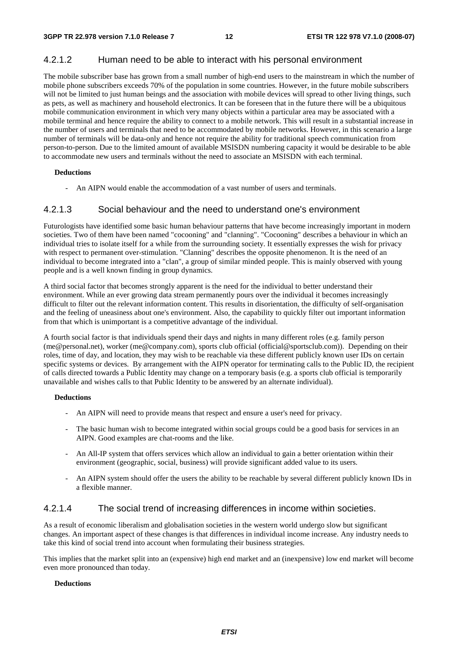## 4.2.1.2 Human need to be able to interact with his personal environment

The mobile subscriber base has grown from a small number of high-end users to the mainstream in which the number of mobile phone subscribers exceeds 70% of the population in some countries. However, in the future mobile subscribers will not be limited to just human beings and the association with mobile devices will spread to other living things, such as pets, as well as machinery and household electronics. It can be foreseen that in the future there will be a ubiquitous mobile communication environment in which very many objects within a particular area may be associated with a mobile terminal and hence require the ability to connect to a mobile network. This will result in a substantial increase in the number of users and terminals that need to be accommodated by mobile networks. However, in this scenario a large number of terminals will be data-only and hence not require the ability for traditional speech communication from person-to-person. Due to the limited amount of available MSISDN numbering capacity it would be desirable to be able to accommodate new users and terminals without the need to associate an MSISDN with each terminal.

#### **Deductions**

An AIPN would enable the accommodation of a vast number of users and terminals.

## 4.2.1.3 Social behaviour and the need to understand one's environment

Futurologists have identified some basic human behaviour patterns that have become increasingly important in modern societies. Two of them have been named "cocooning" and "clanning". "Cocooning" describes a behaviour in which an individual tries to isolate itself for a while from the surrounding society. It essentially expresses the wish for privacy with respect to permanent over-stimulation. "Clanning" describes the opposite phenomenon. It is the need of an individual to become integrated into a "clan", a group of similar minded people. This is mainly observed with young people and is a well known finding in group dynamics.

A third social factor that becomes strongly apparent is the need for the individual to better understand their environment. While an ever growing data stream permanently pours over the individual it becomes increasingly difficult to filter out the relevant information content. This results in disorientation, the difficulty of self-organisation and the feeling of uneasiness about one's environment. Also, the capability to quickly filter out important information from that which is unimportant is a competitive advantage of the individual.

A fourth social factor is that individuals spend their days and nights in many different roles (e.g. family person (me@personal.net), worker (me@company.com), sports club official (official@sportsclub.com)). Depending on their roles, time of day, and location, they may wish to be reachable via these different publicly known user IDs on certain specific systems or devices. By arrangement with the AIPN operator for terminating calls to the Public ID, the recipient of calls directed towards a Public Identity may change on a temporary basis (e.g. a sports club official is temporarily unavailable and wishes calls to that Public Identity to be answered by an alternate individual).

#### **Deductions**

- An AIPN will need to provide means that respect and ensure a user's need for privacy.
- The basic human wish to become integrated within social groups could be a good basis for services in an AIPN. Good examples are chat-rooms and the like.
- An All-IP system that offers services which allow an individual to gain a better orientation within their environment (geographic, social, business) will provide significant added value to its users.
- An AIPN system should offer the users the ability to be reachable by several different publicly known IDs in a flexible manner.

## 4.2.1.4 The social trend of increasing differences in income within societies.

As a result of economic liberalism and globalisation societies in the western world undergo slow but significant changes. An important aspect of these changes is that differences in individual income increase. Any industry needs to take this kind of social trend into account when formulating their business strategies.

This implies that the market split into an (expensive) high end market and an (inexpensive) low end market will become even more pronounced than today.

### **Deductions**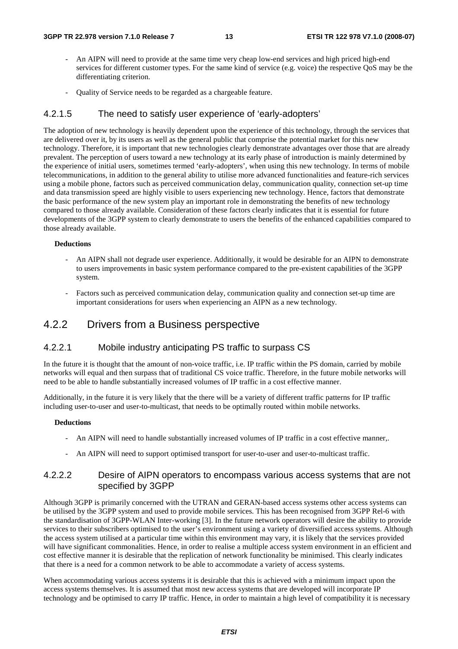- An AIPN will need to provide at the same time very cheap low-end services and high priced high-end services for different customer types. For the same kind of service (e.g. voice) the respective QoS may be the differentiating criterion.
- Quality of Service needs to be regarded as a chargeable feature.

### 4.2.1.5 The need to satisfy user experience of 'early-adopters'

The adoption of new technology is heavily dependent upon the experience of this technology, through the services that are delivered over it, by its users as well as the general public that comprise the potential market for this new technology. Therefore, it is important that new technologies clearly demonstrate advantages over those that are already prevalent. The perception of users toward a new technology at its early phase of introduction is mainly determined by the experience of initial users, sometimes termed 'early-adopters', when using this new technology. In terms of mobile telecommunications, in addition to the general ability to utilise more advanced functionalities and feature-rich services using a mobile phone, factors such as perceived communication delay, communication quality, connection set-up time and data transmission speed are highly visible to users experiencing new technology. Hence, factors that demonstrate the basic performance of the new system play an important role in demonstrating the benefits of new technology compared to those already available. Consideration of these factors clearly indicates that it is essential for future developments of the 3GPP system to clearly demonstrate to users the benefits of the enhanced capabilities compared to those already available.

#### **Deductions**

- An AIPN shall not degrade user experience. Additionally, it would be desirable for an AIPN to demonstrate to users improvements in basic system performance compared to the pre-existent capabilities of the 3GPP system.
- Factors such as perceived communication delay, communication quality and connection set-up time are important considerations for users when experiencing an AIPN as a new technology.

## 4.2.2 Drivers from a Business perspective

### 4.2.2.1 Mobile industry anticipating PS traffic to surpass CS

In the future it is thought that the amount of non-voice traffic, i.e. IP traffic within the PS domain, carried by mobile networks will equal and then surpass that of traditional CS voice traffic. Therefore, in the future mobile networks will need to be able to handle substantially increased volumes of IP traffic in a cost effective manner.

Additionally, in the future it is very likely that the there will be a variety of different traffic patterns for IP traffic including user-to-user and user-to-multicast, that needs to be optimally routed within mobile networks.

#### **Deductions**

- An AIPN will need to handle substantially increased volumes of IP traffic in a cost effective manner,.
- An AIPN will need to support optimised transport for user-to-user and user-to-multicast traffic.

### 4.2.2.2 Desire of AIPN operators to encompass various access systems that are not specified by 3GPP

Although 3GPP is primarily concerned with the UTRAN and GERAN-based access systems other access systems can be utilised by the 3GPP system and used to provide mobile services. This has been recognised from 3GPP Rel-6 with the standardisation of 3GPP-WLAN Inter-working [3]. In the future network operators will desire the ability to provide services to their subscribers optimised to the user's environment using a variety of diversified access systems. Although the access system utilised at a particular time within this environment may vary, it is likely that the services provided will have significant commonalities. Hence, in order to realise a multiple access system environment in an efficient and cost effective manner it is desirable that the replication of network functionality be minimised. This clearly indicates that there is a need for a common network to be able to accommodate a variety of access systems.

When accommodating various access systems it is desirable that this is achieved with a minimum impact upon the access systems themselves. It is assumed that most new access systems that are developed will incorporate IP technology and be optimised to carry IP traffic. Hence, in order to maintain a high level of compatibility it is necessary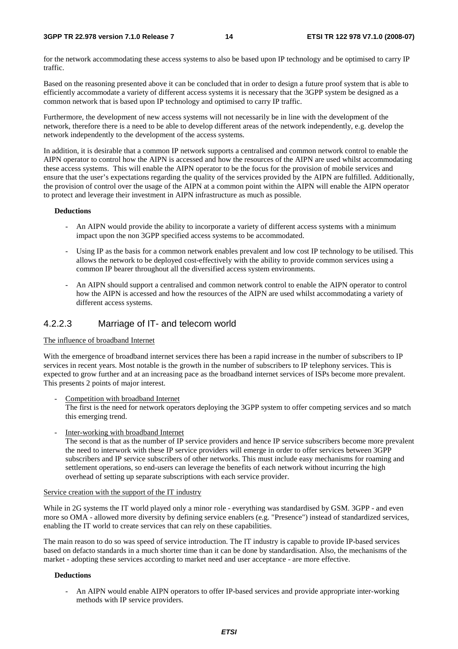#### **3GPP TR 22.978 version 7.1.0 Release 7 14 ETSI TR 122 978 V7.1.0 (2008-07)**

for the network accommodating these access systems to also be based upon IP technology and be optimised to carry IP traffic.

Based on the reasoning presented above it can be concluded that in order to design a future proof system that is able to efficiently accommodate a variety of different access systems it is necessary that the 3GPP system be designed as a common network that is based upon IP technology and optimised to carry IP traffic.

Furthermore, the development of new access systems will not necessarily be in line with the development of the network, therefore there is a need to be able to develop different areas of the network independently, e.g. develop the network independently to the development of the access systems.

In addition, it is desirable that a common IP network supports a centralised and common network control to enable the AIPN operator to control how the AIPN is accessed and how the resources of the AIPN are used whilst accommodating these access systems. This will enable the AIPN operator to be the focus for the provision of mobile services and ensure that the user's expectations regarding the quality of the services provided by the AIPN are fulfilled. Additionally, the provision of control over the usage of the AIPN at a common point within the AIPN will enable the AIPN operator to protect and leverage their investment in AIPN infrastructure as much as possible.

#### **Deductions**

- An AIPN would provide the ability to incorporate a variety of different access systems with a minimum impact upon the non 3GPP specified access systems to be accommodated.
- Using IP as the basis for a common network enables prevalent and low cost IP technology to be utilised. This allows the network to be deployed cost-effectively with the ability to provide common services using a common IP bearer throughout all the diversified access system environments.
- An AIPN should support a centralised and common network control to enable the AIPN operator to control how the AIPN is accessed and how the resources of the AIPN are used whilst accommodating a variety of different access systems.

### 4.2.2.3 Marriage of IT- and telecom world

#### The influence of broadband Internet

With the emergence of broadband internet services there has been a rapid increase in the number of subscribers to IP services in recent years. Most notable is the growth in the number of subscribers to IP telephony services. This is expected to grow further and at an increasing pace as the broadband internet services of ISPs become more prevalent. This presents 2 points of major interest.

Competition with broadband Internet

The first is the need for network operators deploying the 3GPP system to offer competing services and so match this emerging trend.

Inter-working with broadband Internet

The second is that as the number of IP service providers and hence IP service subscribers become more prevalent the need to interwork with these IP service providers will emerge in order to offer services between 3GPP subscribers and IP service subscribers of other networks. This must include easy mechanisms for roaming and settlement operations, so end-users can leverage the benefits of each network without incurring the high overhead of setting up separate subscriptions with each service provider.

#### Service creation with the support of the IT industry

While in 2G systems the IT world played only a minor role - everything was standardised by GSM. 3GPP - and even more so OMA - allowed more diversity by defining service enablers (e.g. "Presence") instead of standardized services, enabling the IT world to create services that can rely on these capabilities.

The main reason to do so was speed of service introduction. The IT industry is capable to provide IP-based services based on defacto standards in a much shorter time than it can be done by standardisation. Also, the mechanisms of the market - adopting these services according to market need and user acceptance - are more effective.

#### **Deductions**

- An AIPN would enable AIPN operators to offer IP-based services and provide appropriate inter-working methods with IP service providers.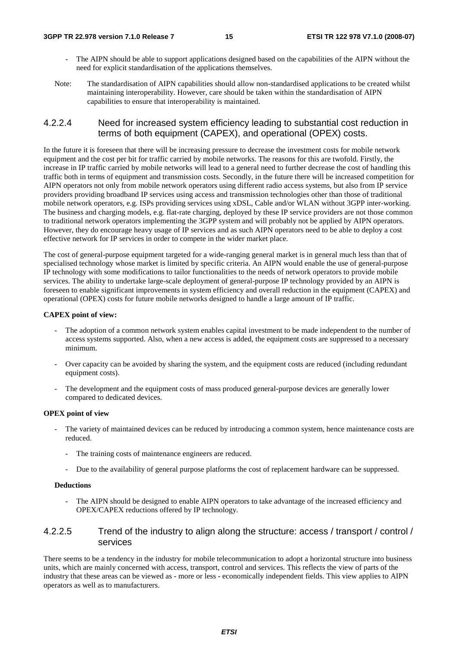- The AIPN should be able to support applications designed based on the capabilities of the AIPN without the need for explicit standardisation of the applications themselves.
- Note: The standardisation of AIPN capabilities should allow non-standardised applications to be created whilst maintaining interoperability. However, care should be taken within the standardisation of AIPN capabilities to ensure that interoperability is maintained.

## 4.2.2.4 Need for increased system efficiency leading to substantial cost reduction in terms of both equipment (CAPEX), and operational (OPEX) costs.

In the future it is foreseen that there will be increasing pressure to decrease the investment costs for mobile network equipment and the cost per bit for traffic carried by mobile networks. The reasons for this are twofold. Firstly, the increase in IP traffic carried by mobile networks will lead to a general need to further decrease the cost of handling this traffic both in terms of equipment and transmission costs. Secondly, in the future there will be increased competition for AIPN operators not only from mobile network operators using different radio access systems, but also from IP service providers providing broadband IP services using access and transmission technologies other than those of traditional mobile network operators, e.g. ISPs providing services using xDSL, Cable and/or WLAN without 3GPP inter-working. The business and charging models, e.g. flat-rate charging, deployed by these IP service providers are not those common to traditional network operators implementing the 3GPP system and will probably not be applied by AIPN operators. However, they do encourage heavy usage of IP services and as such AIPN operators need to be able to deploy a cost effective network for IP services in order to compete in the wider market place.

The cost of general-purpose equipment targeted for a wide-ranging general market is in general much less than that of specialised technology whose market is limited by specific criteria. An AIPN would enable the use of general-purpose IP technology with some modifications to tailor functionalities to the needs of network operators to provide mobile services. The ability to undertake large-scale deployment of general-purpose IP technology provided by an AIPN is foreseen to enable significant improvements in system efficiency and overall reduction in the equipment (CAPEX) and operational (OPEX) costs for future mobile networks designed to handle a large amount of IP traffic.

#### **CAPEX point of view:**

- The adoption of a common network system enables capital investment to be made independent to the number of access systems supported. Also, when a new access is added, the equipment costs are suppressed to a necessary minimum.
- Over capacity can be avoided by sharing the system, and the equipment costs are reduced (including redundant equipment costs).
- The development and the equipment costs of mass produced general-purpose devices are generally lower compared to dedicated devices.

#### **OPEX point of view**

- The variety of maintained devices can be reduced by introducing a common system, hence maintenance costs are reduced.
	- The training costs of maintenance engineers are reduced.
	- Due to the availability of general purpose platforms the cost of replacement hardware can be suppressed.

#### **Deductions**

The AIPN should be designed to enable AIPN operators to take advantage of the increased efficiency and OPEX/CAPEX reductions offered by IP technology.

## 4.2.2.5 Trend of the industry to align along the structure: access / transport / control / services

There seems to be a tendency in the industry for mobile telecommunication to adopt a horizontal structure into business units, which are mainly concerned with access, transport, control and services. This reflects the view of parts of the industry that these areas can be viewed as - more or less - economically independent fields. This view applies to AIPN operators as well as to manufacturers.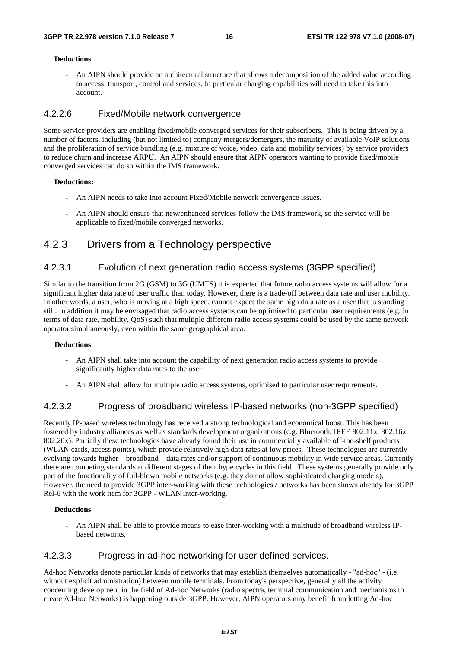#### **Deductions**

- An AIPN should provide an architectural structure that allows a decomposition of the added value according to access, transport, control and services. In particular charging capabilities will need to take this into account.

### 4.2.2.6 Fixed/Mobile network convergence

Some service providers are enabling fixed/mobile converged services for their subscribers. This is being driven by a number of factors, including (but not limited to) company mergers/demergers, the maturity of available VoIP solutions and the proliferation of service bundling (e.g. mixture of voice, video, data and mobility services) by service providers to reduce churn and increase ARPU. An AIPN should ensure that AIPN operators wanting to provide fixed/mobile converged services can do so within the IMS framework.

#### **Deductions:**

- An AIPN needs to take into account Fixed/Mobile network convergence issues.
- An AIPN should ensure that new/enhanced services follow the IMS framework, so the service will be applicable to fixed/mobile converged networks.

## 4.2.3 Drivers from a Technology perspective

## 4.2.3.1 Evolution of next generation radio access systems (3GPP specified)

Similar to the transition from 2G (GSM) to 3G (UMTS) it is expected that future radio access systems will allow for a significant higher data rate of user traffic than today. However, there is a trade-off between data rate and user mobility. In other words, a user, who is moving at a high speed, cannot expect the same high data rate as a user that is standing still. In addition it may be envisaged that radio access systems can be optimised to particular user requirements (e.g. in terms of data rate, mobility, QoS) such that multiple different radio access systems could be used by the same network operator simultaneously, even within the same geographical area.

#### **Deductions**

- An AIPN shall take into account the capability of next generation radio access systems to provide significantly higher data rates to the user
- An AIPN shall allow for multiple radio access systems, optimised to particular user requirements.

### 4.2.3.2 Progress of broadband wireless IP-based networks (non-3GPP specified)

Recently IP-based wireless technology has received a strong technological and economical boost. This has been fostered by industry alliances as well as standards development organizations (e.g. Bluetooth, IEEE 802.11x, 802.16x, 802.20x). Partially these technologies have already found their use in commercially available off-the-shelf products (WLAN cards, access points), which provide relatively high data rates at low prices. These technologies are currently evolving towards higher – broadband – data rates and/or support of continuous mobility in wide service areas. Currently there are competing standards at different stages of their hype cycles in this field. These systems generally provide only part of the functionality of full-blown mobile networks (e.g. they do not allow sophisticated charging models). However, the need to provide 3GPP inter-working with these technologies / networks has been shown already for 3GPP Rel-6 with the work item for 3GPP - WLAN inter-working.

#### **Deductions**

- An AIPN shall be able to provide means to ease inter-working with a multitude of broadband wireless IPbased networks.

### 4.2.3.3 Progress in ad-hoc networking for user defined services.

Ad-hoc Networks denote particular kinds of networks that may establish themselves automatically - "ad-hoc" - (i.e. without explicit administration) between mobile terminals. From today's perspective, generally all the activity concerning development in the field of Ad-hoc Networks (radio spectra, terminal communication and mechanisms to create Ad-hoc Networks) is happening outside 3GPP. However, AIPN operators may benefit from letting Ad-hoc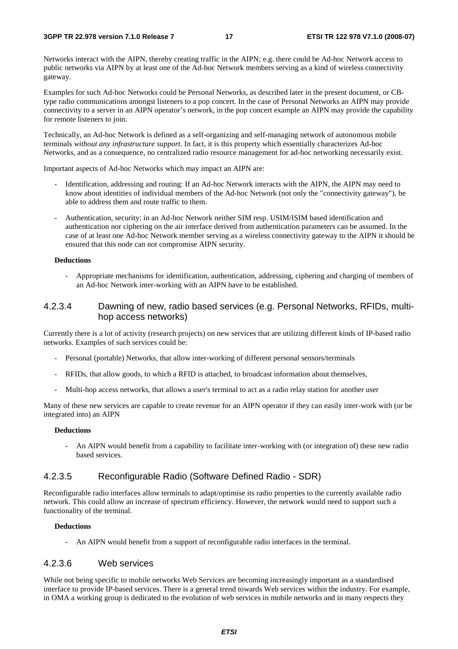Networks interact with the AIPN, thereby creating traffic in the AIPN; e.g. there could be Ad-hoc Network access to public networks via AIPN by at least one of the Ad-hoc Network members serving as a kind of wireless connectivity gateway.

Examples for such Ad-hoc Networks could be Personal Networks, as described later in the present document, or CBtype radio communications amongst listeners to a pop concert. In the case of Personal Networks an AIPN may provide connectivity to a server in an AIPN operator's network, in the pop concert example an AIPN may provide the capability for remote listeners to join.

Technically, an Ad-hoc Network is defined as a self-organizing and self-managing network of autonomous mobile terminals *without any infrastructure support*. In fact, it is this property which essentially characterizes Ad-hoc Networks, and as a consequence, no centralized radio resource management for ad-hoc networking necessarily exist.

Important aspects of Ad-hoc Networks which may impact an AIPN are:

- Identification, addressing and routing: If an Ad-hoc Network interacts with the AIPN, the AIPN may need to know about identities of individual members of the Ad-hoc Network (not only the "connectivity gateway"), be able to address them and route traffic to them.
- Authentication, security: in an Ad-hoc Network neither SIM resp. USIM/ISIM based identification and authentication nor ciphering on the air interface derived from authentication parameters can be assumed. In the case of at least one Ad-hoc Network member serving as a wireless connectivity gateway to the AIPN it should be ensured that this node can not compromise AIPN security.

#### **Deductions**

- Appropriate mechanisms for identification, authentication, addressing, ciphering and charging of members of an Ad-hoc Network inter-working with an AIPN have to be established.

## 4.2.3.4 Dawning of new, radio based services (e.g. Personal Networks, RFIDs, multihop access networks)

Currently there is a lot of activity (research projects) on new services that are utilizing different kinds of IP-based radio networks. Examples of such services could be:

- Personal (portable) Networks, that allow inter-working of different personal sensors/terminals
- RFIDs, that allow goods, to which a RFID is attached, to broadcast information about themselves,
- Multi-hop access networks, that allows a user's terminal to act as a radio relay station for another user

Many of these new services are capable to create revenue for an AIPN operator if they can easily inter-work with (or be integrated into) an AIPN

#### **Deductions**

- An AIPN would benefit from a capability to facilitate inter-working with (or integration of) these new radio based services.

## 4.2.3.5 Reconfigurable Radio (Software Defined Radio - SDR)

Reconfigurable radio interfaces allow terminals to adapt/optimise its radio properties to the currently available radio network. This could allow an increase of spectrum efficiency. However, the network would need to support such a functionality of the terminal.

#### **Deductions**

- An AIPN would benefit from a support of reconfigurable radio interfaces in the terminal.

### 4.2.3.6 Web services

While not being specific to mobile networks Web Services are becoming increasingly important as a standardised interface to provide IP-based services. There is a general trend towards Web services within the industry. For example, in OMA a working group is dedicated to the evolution of web services in mobile networks and in many respects they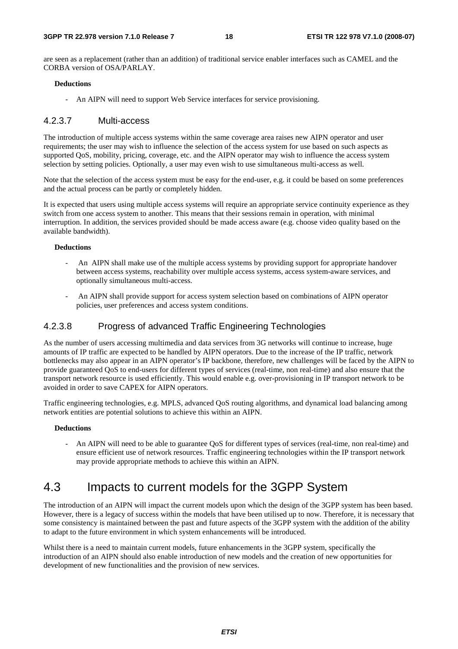are seen as a replacement (rather than an addition) of traditional service enabler interfaces such as CAMEL and the CORBA version of OSA/PARLAY.

#### **Deductions**

- An AIPN will need to support Web Service interfaces for service provisioning.

### 4.2.3.7 Multi-access

The introduction of multiple access systems within the same coverage area raises new AIPN operator and user requirements; the user may wish to influence the selection of the access system for use based on such aspects as supported QoS, mobility, pricing, coverage, etc. and the AIPN operator may wish to influence the access system selection by setting policies. Optionally, a user may even wish to use simultaneous multi-access as well.

Note that the selection of the access system must be easy for the end-user, e.g. it could be based on some preferences and the actual process can be partly or completely hidden.

It is expected that users using multiple access systems will require an appropriate service continuity experience as they switch from one access system to another. This means that their sessions remain in operation, with minimal interruption. In addition, the services provided should be made access aware (e.g. choose video quality based on the available bandwidth).

#### **Deductions**

- An AIPN shall make use of the multiple access systems by providing support for appropriate handover between access systems, reachability over multiple access systems, access system-aware services, and optionally simultaneous multi-access.
- An AIPN shall provide support for access system selection based on combinations of AIPN operator policies, user preferences and access system conditions.

## 4.2.3.8 Progress of advanced Traffic Engineering Technologies

As the number of users accessing multimedia and data services from 3G networks will continue to increase, huge amounts of IP traffic are expected to be handled by AIPN operators. Due to the increase of the IP traffic, network bottlenecks may also appear in an AIPN operator's IP backbone, therefore, new challenges will be faced by the AIPN to provide guaranteed QoS to end-users for different types of services (real-time, non real-time) and also ensure that the transport network resource is used efficiently. This would enable e.g. over-provisioning in IP transport network to be avoided in order to save CAPEX for AIPN operators.

Traffic engineering technologies, e.g. MPLS, advanced QoS routing algorithms, and dynamical load balancing among network entities are potential solutions to achieve this within an AIPN.

#### **Deductions**

- An AIPN will need to be able to guarantee QoS for different types of services (real-time, non real-time) and ensure efficient use of network resources. Traffic engineering technologies within the IP transport network may provide appropriate methods to achieve this within an AIPN.

## 4.3 Impacts to current models for the 3GPP System

The introduction of an AIPN will impact the current models upon which the design of the 3GPP system has been based. However, there is a legacy of success within the models that have been utilised up to now. Therefore, it is necessary that some consistency is maintained between the past and future aspects of the 3GPP system with the addition of the ability to adapt to the future environment in which system enhancements will be introduced.

Whilst there is a need to maintain current models, future enhancements in the 3GPP system, specifically the introduction of an AIPN should also enable introduction of new models and the creation of new opportunities for development of new functionalities and the provision of new services.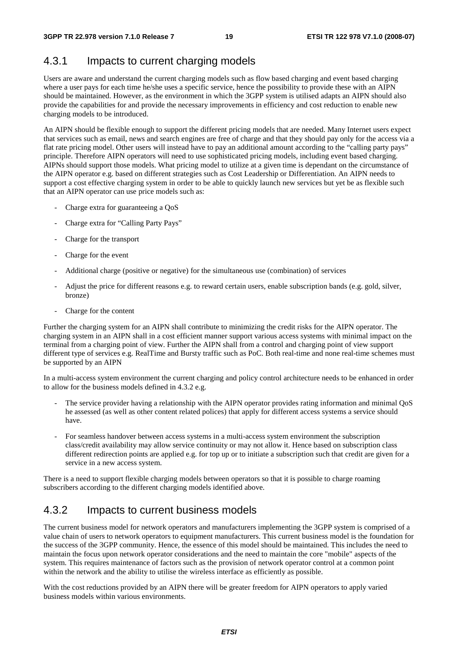## 4.3.1 Impacts to current charging models

Users are aware and understand the current charging models such as flow based charging and event based charging where a user pays for each time he/she uses a specific service, hence the possibility to provide these with an AIPN should be maintained. However, as the environment in which the 3GPP system is utilised adapts an AIPN should also provide the capabilities for and provide the necessary improvements in efficiency and cost reduction to enable new charging models to be introduced.

An AIPN should be flexible enough to support the different pricing models that are needed. Many Internet users expect that services such as email, news and search engines are free of charge and that they should pay only for the access via a flat rate pricing model. Other users will instead have to pay an additional amount according to the "calling party pays" principle. Therefore AIPN operators will need to use sophisticated pricing models, including event based charging. AIPNs should support those models. What pricing model to utilize at a given time is dependant on the circumstance of the AIPN operator e.g. based on different strategies such as Cost Leadership or Differentiation. An AIPN needs to support a cost effective charging system in order to be able to quickly launch new services but yet be as flexible such that an AIPN operator can use price models such as:

- Charge extra for guaranteeing a OoS
- Charge extra for "Calling Party Pays"
- Charge for the transport
- Charge for the event
- Additional charge (positive or negative) for the simultaneous use (combination) of services
- Adjust the price for different reasons e.g. to reward certain users, enable subscription bands (e.g. gold, silver, bronze)
- Charge for the content

Further the charging system for an AIPN shall contribute to minimizing the credit risks for the AIPN operator. The charging system in an AIPN shall in a cost efficient manner support various access systems with minimal impact on the terminal from a charging point of view. Further the AIPN shall from a control and charging point of view support different type of services e.g. RealTime and Bursty traffic such as PoC. Both real-time and none real-time schemes must be supported by an AIPN

In a multi-access system environment the current charging and policy control architecture needs to be enhanced in order to allow for the business models defined in 4.3.2 e.g.

- The service provider having a relationship with the AIPN operator provides rating information and minimal QoS he assessed (as well as other content related polices) that apply for different access systems a service should have.
- For seamless handover between access systems in a multi-access system environment the subscription class/credit availability may allow service continuity or may not allow it. Hence based on subscription class different redirection points are applied e.g. for top up or to initiate a subscription such that credit are given for a service in a new access system.

There is a need to support flexible charging models between operators so that it is possible to charge roaming subscribers according to the different charging models identified above.

## 4.3.2 Impacts to current business models

The current business model for network operators and manufacturers implementing the 3GPP system is comprised of a value chain of users to network operators to equipment manufacturers. This current business model is the foundation for the success of the 3GPP community. Hence, the essence of this model should be maintained. This includes the need to maintain the focus upon network operator considerations and the need to maintain the core "mobile" aspects of the system. This requires maintenance of factors such as the provision of network operator control at a common point within the network and the ability to utilise the wireless interface as efficiently as possible.

With the cost reductions provided by an AIPN there will be greater freedom for AIPN operators to apply varied business models within various environments.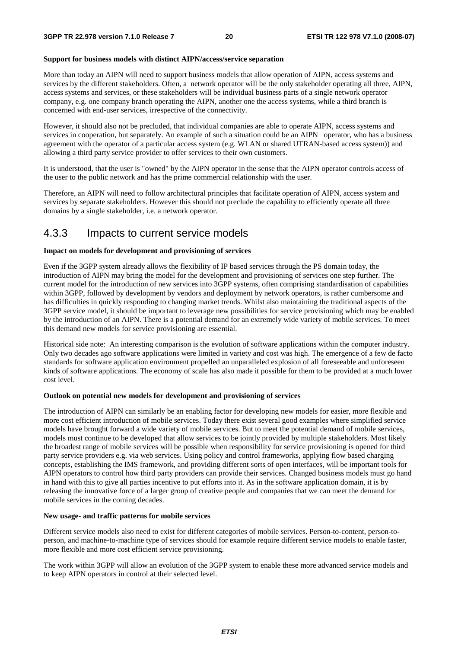#### **Support for business models with distinct AIPN/access/service separation**

More than today an AIPN will need to support business models that allow operation of AIPN, access systems and services by the different stakeholders. Often, a network operator will be the only stakeholder operating all three, AIPN, access systems and services, or these stakeholders will be individual business parts of a single network operator company, e.g. one company branch operating the AIPN, another one the access systems, while a third branch is concerned with end-user services, irrespective of the connectivity.

However, it should also not be precluded, that individual companies are able to operate AIPN, access systems and services in cooperation, but separately. An example of such a situation could be an AIPN operator, who has a business agreement with the operator of a particular access system (e.g. WLAN or shared UTRAN-based access system)) and allowing a third party service provider to offer services to their own customers.

It is understood, that the user is "owned" by the AIPN operator in the sense that the AIPN operator controls access of the user to the public network and has the prime commercial relationship with the user.

Therefore, an AIPN will need to follow architectural principles that facilitate operation of AIPN, access system and services by separate stakeholders. However this should not preclude the capability to efficiently operate all three domains by a single stakeholder, i.e. a network operator.

## 4.3.3 Impacts to current service models

#### **Impact on models for development and provisioning of services**

Even if the 3GPP system already allows the flexibility of IP based services through the PS domain today, the introduction of AIPN may bring the model for the development and provisioning of services one step further. The current model for the introduction of new services into 3GPP systems, often comprising standardisation of capabilities within 3GPP, followed by development by vendors and deployment by network operators, is rather cumbersome and has difficulties in quickly responding to changing market trends. Whilst also maintaining the traditional aspects of the 3GPP service model, it should be important to leverage new possibilities for service provisioning which may be enabled by the introduction of an AIPN. There is a potential demand for an extremely wide variety of mobile services. To meet this demand new models for service provisioning are essential.

Historical side note: An interesting comparison is the evolution of software applications within the computer industry. Only two decades ago software applications were limited in variety and cost was high. The emergence of a few de facto standards for software application environment propelled an unparalleled explosion of all foreseeable and unforeseen kinds of software applications. The economy of scale has also made it possible for them to be provided at a much lower cost level.

#### **Outlook on potential new models for development and provisioning of services**

The introduction of AIPN can similarly be an enabling factor for developing new models for easier, more flexible and more cost efficient introduction of mobile services. Today there exist several good examples where simplified service models have brought forward a wide variety of mobile services. But to meet the potential demand of mobile services, models must continue to be developed that allow services to be jointly provided by multiple stakeholders. Most likely the broadest range of mobile services will be possible when responsibility for service provisioning is opened for third party service providers e.g. via web services. Using policy and control frameworks, applying flow based charging concepts, establishing the IMS framework, and providing different sorts of open interfaces, will be important tools for AIPN operators to control how third party providers can provide their services. Changed business models must go hand in hand with this to give all parties incentive to put efforts into it. As in the software application domain, it is by releasing the innovative force of a larger group of creative people and companies that we can meet the demand for mobile services in the coming decades.

#### **New usage- and traffic patterns for mobile services**

Different service models also need to exist for different categories of mobile services. Person-to-content, person-toperson, and machine-to-machine type of services should for example require different service models to enable faster, more flexible and more cost efficient service provisioning.

The work within 3GPP will allow an evolution of the 3GPP system to enable these more advanced service models and to keep AIPN operators in control at their selected level.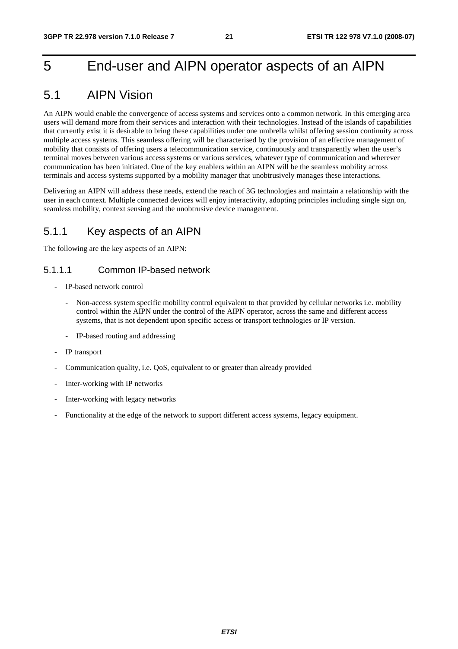## 5 End-user and AIPN operator aspects of an AIPN

## 5.1 AIPN Vision

An AIPN would enable the convergence of access systems and services onto a common network. In this emerging area users will demand more from their services and interaction with their technologies. Instead of the islands of capabilities that currently exist it is desirable to bring these capabilities under one umbrella whilst offering session continuity across multiple access systems. This seamless offering will be characterised by the provision of an effective management of mobility that consists of offering users a telecommunication service, continuously and transparently when the user's terminal moves between various access systems or various services, whatever type of communication and wherever communication has been initiated. One of the key enablers within an AIPN will be the seamless mobility across terminals and access systems supported by a mobility manager that unobtrusively manages these interactions.

Delivering an AIPN will address these needs, extend the reach of 3G technologies and maintain a relationship with the user in each context. Multiple connected devices will enjoy interactivity, adopting principles including single sign on, seamless mobility, context sensing and the unobtrusive device management.

## 5.1.1 Key aspects of an AIPN

The following are the key aspects of an AIPN:

## 5.1.1.1 Common IP-based network

- IP-based network control
	- Non-access system specific mobility control equivalent to that provided by cellular networks i.e. mobility control within the AIPN under the control of the AIPN operator, across the same and different access systems, that is not dependent upon specific access or transport technologies or IP version.
	- IP-based routing and addressing
- IP transport
- Communication quality, i.e. QoS, equivalent to or greater than already provided
- Inter-working with IP networks
- Inter-working with legacy networks
- Functionality at the edge of the network to support different access systems, legacy equipment.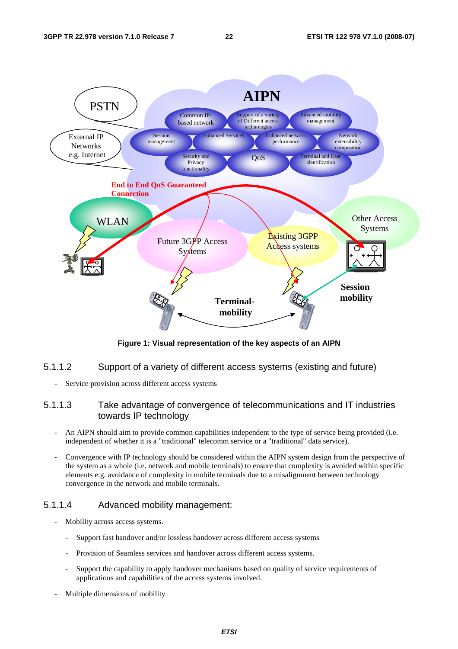

**Figure 1: Visual representation of the key aspects of an AIPN** 

- 5.1.1.2 Support of a variety of different access systems (existing and future)
	- Service provision across different access systems

## 5.1.1.3 Take advantage of convergence of telecommunications and IT industries towards IP technology

- An AIPN should aim to provide common capabilities independent to the type of service being provided (i.e. independent of whether it is a "traditional" telecomm service or a "traditional" data service).
- Convergence with IP technology should be considered within the AIPN system design from the perspective of the system as a whole (i.e. network and mobile terminals) to ensure that complexity is avoided within specific elements e.g. avoidance of complexity in mobile terminals due to a misalignment between technology convergence in the network and mobile terminals.

## 5.1.1.4 Advanced mobility management:

- Mobility across access systems.
	- Support fast handover and/or lossless handover across different access systems
	- Provision of Seamless services and handover across different access systems.
	- Support the capability to apply handover mechanisms based on quality of service requirements of applications and capabilities of the access systems involved.
- Multiple dimensions of mobility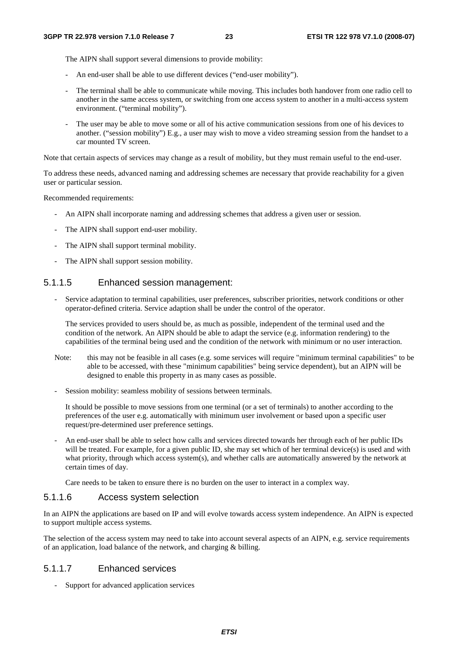The AIPN shall support several dimensions to provide mobility:

- An end-user shall be able to use different devices ("end-user mobility").
- The terminal shall be able to communicate while moving. This includes both handover from one radio cell to another in the same access system, or switching from one access system to another in a multi-access system environment. ("terminal mobility").
- The user may be able to move some or all of his active communication sessions from one of his devices to another. ("session mobility") E.g., a user may wish to move a video streaming session from the handset to a car mounted TV screen.

Note that certain aspects of services may change as a result of mobility, but they must remain useful to the end-user.

To address these needs, advanced naming and addressing schemes are necessary that provide reachability for a given user or particular session.

Recommended requirements:

- An AIPN shall incorporate naming and addressing schemes that address a given user or session.
- The AIPN shall support end-user mobility.
- The AIPN shall support terminal mobility.
- The AIPN shall support session mobility.

## 5.1.1.5 Enhanced session management:

Service adaptation to terminal capabilities, user preferences, subscriber priorities, network conditions or other operator-defined criteria. Service adaption shall be under the control of the operator.

The services provided to users should be, as much as possible, independent of the terminal used and the condition of the network. An AIPN should be able to adapt the service (e.g. information rendering) to the capabilities of the terminal being used and the condition of the network with minimum or no user interaction.

- Note: this may not be feasible in all cases (e.g. some services will require "minimum terminal capabilities" to be able to be accessed, with these "minimum capabilities" being service dependent), but an AIPN will be designed to enable this property in as many cases as possible.
- Session mobility: seamless mobility of sessions between terminals.

It should be possible to move sessions from one terminal (or a set of terminals) to another according to the preferences of the user e.g. automatically with minimum user involvement or based upon a specific user request/pre-determined user preference settings.

- An end-user shall be able to select how calls and services directed towards her through each of her public IDs will be treated. For example, for a given public ID, she may set which of her terminal device(s) is used and with what priority, through which access system(s), and whether calls are automatically answered by the network at certain times of day.

Care needs to be taken to ensure there is no burden on the user to interact in a complex way.

### 5.1.1.6 Access system selection

In an AIPN the applications are based on IP and will evolve towards access system independence. An AIPN is expected to support multiple access systems.

The selection of the access system may need to take into account several aspects of an AIPN, e.g. service requirements of an application, load balance of the network, and charging & billing.

## 5.1.1.7 Enhanced services

- Support for advanced application services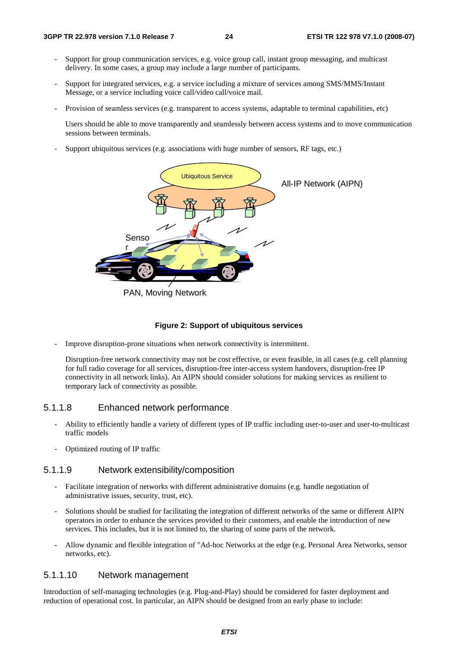- Support for group communication services, e.g. voice group call, instant group messaging, and multicast delivery. In some cases, a group may include a large number of participants.
- Support for integrated services, e.g. a service including a mixture of services among SMS/MMS/Instant Message, or a service including voice call/video call/voice mail.
- Provision of seamless services (e.g. transparent to access systems, adaptable to terminal capabilities, etc)

 Users should be able to move transparently and seamlessly between access systems and to move communication sessions between terminals.

Support ubiquitous services (e.g. associations with huge number of sensors, RF tags, etc.)



PAN, Moving Network

### **Figure 2: Support of ubiquitous services**

Improve disruption-prone situations when network connectivity is intermittent.

Disruption-free network connectivity may not be cost effective, or even feasible, in all cases (e.g. cell planning for full radio coverage for all services, disruption-free inter-access system handovers, disruption-free IP connectivity in all network links). An AIPN should consider solutions for making services as resilient to temporary lack of connectivity as possible.

### 5.1.1.8 Enhanced network performance

- Ability to efficiently handle a variety of different types of IP traffic including user-to-user and user-to-multicast traffic models
- Optimized routing of IP traffic

### 5.1.1.9 Network extensibility/composition

- Facilitate integration of networks with different administrative domains (e.g. handle negotiation of administrative issues, security, trust, etc).
- Solutions should be studied for facilitating the integration of different networks of the same or different AIPN operators in order to enhance the services provided to their customers, and enable the introduction of new services. This includes, but it is not limited to, the sharing of some parts of the network.
- Allow dynamic and flexible integration of "Ad-hoc Networks at the edge (e.g. Personal Area Networks, sensor networks, etc).

## 5.1.1.10 Network management

Introduction of self-managing technologies (e.g. Plug-and-Play) should be considered for faster deployment and reduction of operational cost. In particular, an AIPN should be designed from an early phase to include: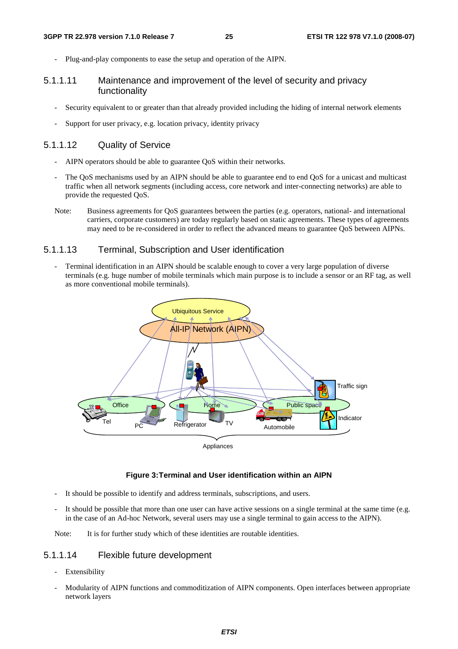Plug-and-play components to ease the setup and operation of the AIPN.

### 5.1.1.11 Maintenance and improvement of the level of security and privacy functionality

- Security equivalent to or greater than that already provided including the hiding of internal network elements
- Support for user privacy, e.g. location privacy, identity privacy

### 5.1.1.12 Quality of Service

- AIPN operators should be able to guarantee QoS within their networks.
- The QoS mechanisms used by an AIPN should be able to guarantee end to end QoS for a unicast and multicast traffic when all network segments (including access, core network and inter-connecting networks) are able to provide the requested QoS.
- Note: Business agreements for QoS guarantees between the parties (e.g. operators, national- and international carriers, corporate customers) are today regularly based on static agreements. These types of agreements may need to be re-considered in order to reflect the advanced means to guarantee QoS between AIPNs.

## 5.1.1.13 Terminal, Subscription and User identification

Terminal identification in an AIPN should be scalable enough to cover a very large population of diverse terminals (e.g. huge number of mobile terminals which main purpose is to include a sensor or an RF tag, as well as more conventional mobile terminals).



#### **Figure 3: Terminal and User identification within an AIPN**

- It should be possible to identify and address terminals, subscriptions, and users.
- It should be possible that more than one user can have active sessions on a single terminal at the same time (e.g. in the case of an Ad-hoc Network, several users may use a single terminal to gain access to the AIPN).

Note: It is for further study which of these identities are routable identities.

## 5.1.1.14 Flexible future development

- Extensibility
- Modularity of AIPN functions and commoditization of AIPN components. Open interfaces between appropriate network layers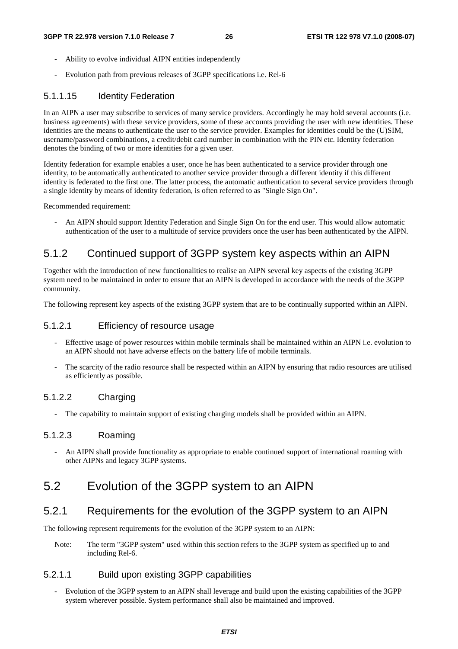- Ability to evolve individual AIPN entities independently
- Evolution path from previous releases of 3GPP specifications i.e. Rel-6

## 5.1.1.15 Identity Federation

In an AIPN a user may subscribe to services of many service providers. Accordingly he may hold several accounts (i.e. business agreements) with these service providers, some of these accounts providing the user with new identities. These identities are the means to authenticate the user to the service provider. Examples for identities could be the (U)SIM, username/password combinations, a credit/debit card number in combination with the PIN etc. Identity federation denotes the binding of two or more identities for a given user.

Identity federation for example enables a user, once he has been authenticated to a service provider through one identity, to be automatically authenticated to another service provider through a different identity if this different identity is federated to the first one. The latter process, the automatic authentication to several service providers through a single identity by means of identity federation, is often referred to as "Single Sign On".

Recommended requirement:

- An AIPN should support Identity Federation and Single Sign On for the end user. This would allow automatic authentication of the user to a multitude of service providers once the user has been authenticated by the AIPN.

## 5.1.2 Continued support of 3GPP system key aspects within an AIPN

Together with the introduction of new functionalities to realise an AIPN several key aspects of the existing 3GPP system need to be maintained in order to ensure that an AIPN is developed in accordance with the needs of the 3GPP community.

The following represent key aspects of the existing 3GPP system that are to be continually supported within an AIPN.

### 5.1.2.1 Efficiency of resource usage

- Effective usage of power resources within mobile terminals shall be maintained within an AIPN i.e. evolution to an AIPN should not have adverse effects on the battery life of mobile terminals.
- The scarcity of the radio resource shall be respected within an AIPN by ensuring that radio resources are utilised as efficiently as possible.

## 5.1.2.2 Charging

The capability to maintain support of existing charging models shall be provided within an AIPN.

## 5.1.2.3 Roaming

- An AIPN shall provide functionality as appropriate to enable continued support of international roaming with other AIPNs and legacy 3GPP systems.

## 5.2 Evolution of the 3GPP system to an AIPN

## 5.2.1 Requirements for the evolution of the 3GPP system to an AIPN

The following represent requirements for the evolution of the 3GPP system to an AIPN:

Note: The term "3GPP system" used within this section refers to the 3GPP system as specified up to and including Rel-6.

## 5.2.1.1 Build upon existing 3GPP capabilities

- Evolution of the 3GPP system to an AIPN shall leverage and build upon the existing capabilities of the 3GPP system wherever possible. System performance shall also be maintained and improved.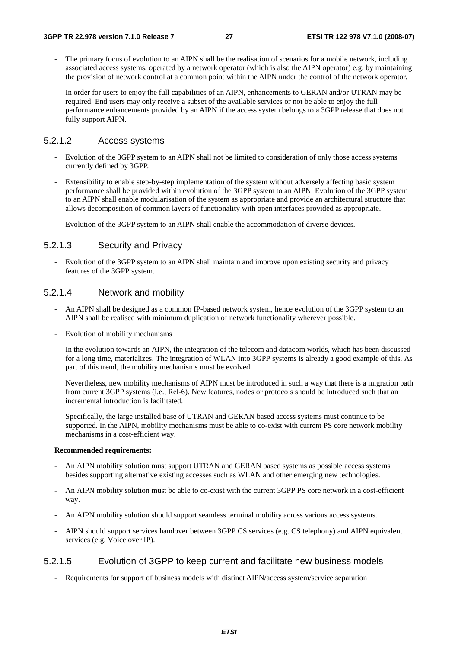- The primary focus of evolution to an AIPN shall be the realisation of scenarios for a mobile network, including associated access systems, operated by a network operator (which is also the AIPN operator) e.g. by maintaining the provision of network control at a common point within the AIPN under the control of the network operator.
- In order for users to enjoy the full capabilities of an AIPN, enhancements to GERAN and/or UTRAN may be required. End users may only receive a subset of the available services or not be able to enjoy the full performance enhancements provided by an AIPN if the access system belongs to a 3GPP release that does not fully support AIPN.

### 5.2.1.2 Access systems

- Evolution of the 3GPP system to an AIPN shall not be limited to consideration of only those access systems currently defined by 3GPP.
- Extensibility to enable step-by-step implementation of the system without adversely affecting basic system performance shall be provided within evolution of the 3GPP system to an AIPN. Evolution of the 3GPP system to an AIPN shall enable modularisation of the system as appropriate and provide an architectural structure that allows decomposition of common layers of functionality with open interfaces provided as appropriate.
- Evolution of the 3GPP system to an AIPN shall enable the accommodation of diverse devices.

## 5.2.1.3 Security and Privacy

- Evolution of the 3GPP system to an AIPN shall maintain and improve upon existing security and privacy features of the 3GPP system.

## 5.2.1.4 Network and mobility

- An AIPN shall be designed as a common IP-based network system, hence evolution of the 3GPP system to an AIPN shall be realised with minimum duplication of network functionality wherever possible.
- Evolution of mobility mechanisms

 In the evolution towards an AIPN, the integration of the telecom and datacom worlds, which has been discussed for a long time, materializes. The integration of WLAN into 3GPP systems is already a good example of this. As part of this trend, the mobility mechanisms must be evolved.

 Nevertheless, new mobility mechanisms of AIPN must be introduced in such a way that there is a migration path from current 3GPP systems (i.e., Rel-6). New features, nodes or protocols should be introduced such that an incremental introduction is facilitated.

 Specifically, the large installed base of UTRAN and GERAN based access systems must continue to be supported. In the AIPN, mobility mechanisms must be able to co-exist with current PS core network mobility mechanisms in a cost-efficient way.

### **Recommended requirements:**

- An AIPN mobility solution must support UTRAN and GERAN based systems as possible access systems besides supporting alternative existing accesses such as WLAN and other emerging new technologies.
- An AIPN mobility solution must be able to co-exist with the current 3GPP PS core network in a cost-efficient way.
- An AIPN mobility solution should support seamless terminal mobility across various access systems.
- AIPN should support services handover between 3GPP CS services (e.g. CS telephony) and AIPN equivalent services (e.g. Voice over IP).

## 5.2.1.5 Evolution of 3GPP to keep current and facilitate new business models

- Requirements for support of business models with distinct AIPN/access system/service separation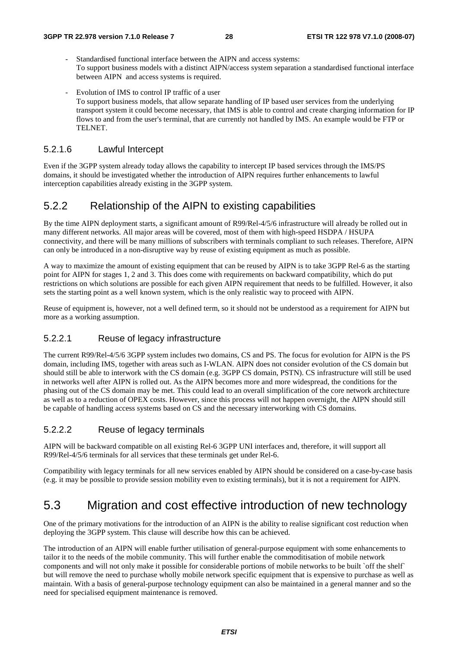- Standardised functional interface between the AIPN and access systems: To support business models with a distinct AIPN/access system separation a standardised functional interface between AIPN and access systems is required.
- Evolution of IMS to control IP traffic of a user To support business models, that allow separate handling of IP based user services from the underlying transport system it could become necessary, that IMS is able to control and create charging information for IP flows to and from the user's terminal, that are currently not handled by IMS. An example would be FTP or TELNET.

## 5.2.1.6 Lawful Intercept

Even if the 3GPP system already today allows the capability to intercept IP based services through the IMS/PS domains, it should be investigated whether the introduction of AIPN requires further enhancements to lawful interception capabilities already existing in the 3GPP system.

## 5.2.2 Relationship of the AIPN to existing capabilities

By the time AIPN deployment starts, a significant amount of R99/Rel-4/5/6 infrastructure will already be rolled out in many different networks. All major areas will be covered, most of them with high-speed HSDPA / HSUPA connectivity, and there will be many millions of subscribers with terminals compliant to such releases. Therefore, AIPN can only be introduced in a non-disruptive way by reuse of existing equipment as much as possible.

A way to maximize the amount of existing equipment that can be reused by AIPN is to take 3GPP Rel-6 as the starting point for AIPN for stages 1, 2 and 3. This does come with requirements on backward compatibility, which do put restrictions on which solutions are possible for each given AIPN requirement that needs to be fulfilled. However, it also sets the starting point as a well known system, which is the only realistic way to proceed with AIPN.

Reuse of equipment is, however, not a well defined term, so it should not be understood as a requirement for AIPN but more as a working assumption.

### 5.2.2.1 Reuse of legacy infrastructure

The current R99/Rel-4/5/6 3GPP system includes two domains, CS and PS. The focus for evolution for AIPN is the PS domain, including IMS, together with areas such as I-WLAN. AIPN does not consider evolution of the CS domain but should still be able to interwork with the CS domain (e.g. 3GPP CS domain, PSTN). CS infrastructure will still be used in networks well after AIPN is rolled out. As the AIPN becomes more and more widespread, the conditions for the phasing out of the CS domain may be met. This could lead to an overall simplification of the core network architecture as well as to a reduction of OPEX costs. However, since this process will not happen overnight, the AIPN should still be capable of handling access systems based on CS and the necessary interworking with CS domains.

## 5.2.2.2 Reuse of legacy terminals

AIPN will be backward compatible on all existing Rel-6 3GPP UNI interfaces and, therefore, it will support all R99/Rel-4/5/6 terminals for all services that these terminals get under Rel-6.

Compatibility with legacy terminals for all new services enabled by AIPN should be considered on a case-by-case basis (e.g. it may be possible to provide session mobility even to existing terminals), but it is not a requirement for AIPN.

## 5.3 Migration and cost effective introduction of new technology

One of the primary motivations for the introduction of an AIPN is the ability to realise significant cost reduction when deploying the 3GPP system. This clause will describe how this can be achieved.

The introduction of an AIPN will enable further utilisation of general-purpose equipment with some enhancements to tailor it to the needs of the mobile community. This will further enable the commoditisation of mobile network components and will not only make it possible for considerable portions of mobile networks to be built `off the shelf` but will remove the need to purchase wholly mobile network specific equipment that is expensive to purchase as well as maintain. With a basis of general-purpose technology equipment can also be maintained in a general manner and so the need for specialised equipment maintenance is removed.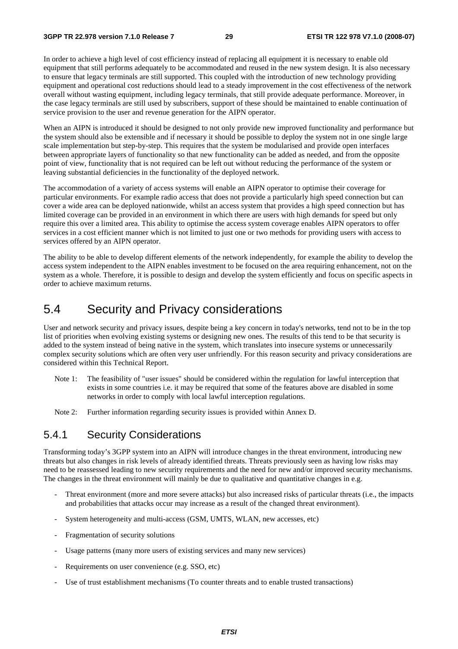In order to achieve a high level of cost efficiency instead of replacing all equipment it is necessary to enable old equipment that still performs adequately to be accommodated and reused in the new system design. It is also necessary to ensure that legacy terminals are still supported. This coupled with the introduction of new technology providing equipment and operational cost reductions should lead to a steady improvement in the cost effectiveness of the network overall without wasting equipment, including legacy terminals, that still provide adequate performance. Moreover, in the case legacy terminals are still used by subscribers, support of these should be maintained to enable continuation of service provision to the user and revenue generation for the AIPN operator.

When an AIPN is introduced it should be designed to not only provide new improved functionality and performance but the system should also be extensible and if necessary it should be possible to deploy the system not in one single large scale implementation but step-by-step. This requires that the system be modularised and provide open interfaces between appropriate layers of functionality so that new functionality can be added as needed, and from the opposite point of view, functionality that is not required can be left out without reducing the performance of the system or leaving substantial deficiencies in the functionality of the deployed network.

The accommodation of a variety of access systems will enable an AIPN operator to optimise their coverage for particular environments. For example radio access that does not provide a particularly high speed connection but can cover a wide area can be deployed nationwide, whilst an access system that provides a high speed connection but has limited coverage can be provided in an environment in which there are users with high demands for speed but only require this over a limited area. This ability to optimise the access system coverage enables AIPN operators to offer services in a cost efficient manner which is not limited to just one or two methods for providing users with access to services offered by an AIPN operator.

The ability to be able to develop different elements of the network independently, for example the ability to develop the access system independent to the AIPN enables investment to be focused on the area requiring enhancement, not on the system as a whole. Therefore, it is possible to design and develop the system efficiently and focus on specific aspects in order to achieve maximum returns.

## 5.4 Security and Privacy considerations

User and network security and privacy issues, despite being a key concern in today's networks, tend not to be in the top list of priorities when evolving existing systems or designing new ones. The results of this tend to be that security is added to the system instead of being native in the system, which translates into insecure systems or unnecessarily complex security solutions which are often very user unfriendly. For this reason security and privacy considerations are considered within this Technical Report.

- Note 1: The feasibility of "user issues" should be considered within the regulation for lawful interception that exists in some countries i.e. it may be required that some of the features above are disabled in some networks in order to comply with local lawful interception regulations.
- Note 2: Further information regarding security issues is provided within Annex D.

## 5.4.1 Security Considerations

Transforming today's 3GPP system into an AIPN will introduce changes in the threat environment, introducing new threats but also changes in risk levels of already identified threats. Threats previously seen as having low risks may need to be reassessed leading to new security requirements and the need for new and/or improved security mechanisms. The changes in the threat environment will mainly be due to qualitative and quantitative changes in e.g.

- Threat environment (more and more severe attacks) but also increased risks of particular threats (i.e., the impacts and probabilities that attacks occur may increase as a result of the changed threat environment).
- System heterogeneity and multi-access (GSM, UMTS, WLAN, new accesses, etc)
- Fragmentation of security solutions
- Usage patterns (many more users of existing services and many new services)
- Requirements on user convenience (e.g. SSO, etc)
- Use of trust establishment mechanisms (To counter threats and to enable trusted transactions)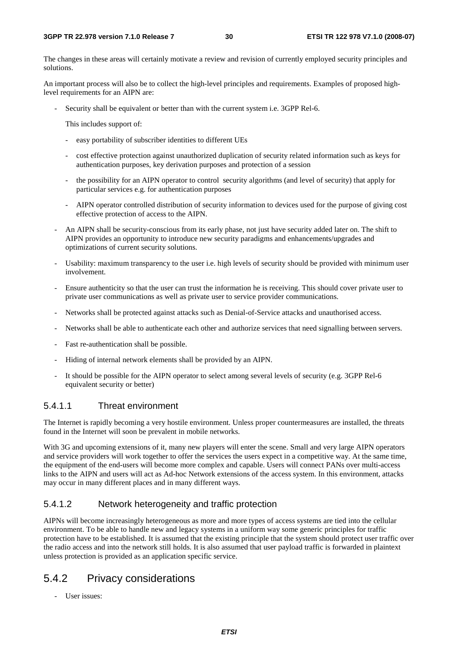The changes in these areas will certainly motivate a review and revision of currently employed security principles and solutions.

An important process will also be to collect the high-level principles and requirements. Examples of proposed highlevel requirements for an AIPN are:

Security shall be equivalent or better than with the current system i.e. 3GPP Rel-6.

This includes support of:

- easy portability of subscriber identities to different UEs
- cost effective protection against unauthorized duplication of security related information such as keys for authentication purposes, key derivation purposes and protection of a session
- the possibility for an AIPN operator to control security algorithms (and level of security) that apply for particular services e.g. for authentication purposes
- AIPN operator controlled distribution of security information to devices used for the purpose of giving cost effective protection of access to the AIPN.
- An AIPN shall be security-conscious from its early phase, not just have security added later on. The shift to AIPN provides an opportunity to introduce new security paradigms and enhancements/upgrades and optimizations of current security solutions.
- Usability: maximum transparency to the user i.e. high levels of security should be provided with minimum user involvement.
- Ensure authenticity so that the user can trust the information he is receiving. This should cover private user to private user communications as well as private user to service provider communications.
- Networks shall be protected against attacks such as Denial-of-Service attacks and unauthorised access.
- Networks shall be able to authenticate each other and authorize services that need signalling between servers.
- Fast re-authentication shall be possible.
- Hiding of internal network elements shall be provided by an AIPN.
- It should be possible for the AIPN operator to select among several levels of security (e.g. 3GPP Rel-6 equivalent security or better)

### 5.4.1.1 Threat environment

The Internet is rapidly becoming a very hostile environment. Unless proper countermeasures are installed, the threats found in the Internet will soon be prevalent in mobile networks.

With 3G and upcoming extensions of it, many new players will enter the scene. Small and very large AIPN operators and service providers will work together to offer the services the users expect in a competitive way. At the same time, the equipment of the end-users will become more complex and capable. Users will connect PANs over multi-access links to the AIPN and users will act as Ad-hoc Network extensions of the access system. In this environment, attacks may occur in many different places and in many different ways.

## 5.4.1.2 Network heterogeneity and traffic protection

AIPNs will become increasingly heterogeneous as more and more types of access systems are tied into the cellular environment. To be able to handle new and legacy systems in a uniform way some generic principles for traffic protection have to be established. It is assumed that the existing principle that the system should protect user traffic over the radio access and into the network still holds. It is also assumed that user payload traffic is forwarded in plaintext unless protection is provided as an application specific service.

## 5.4.2 Privacy considerations

- User issues: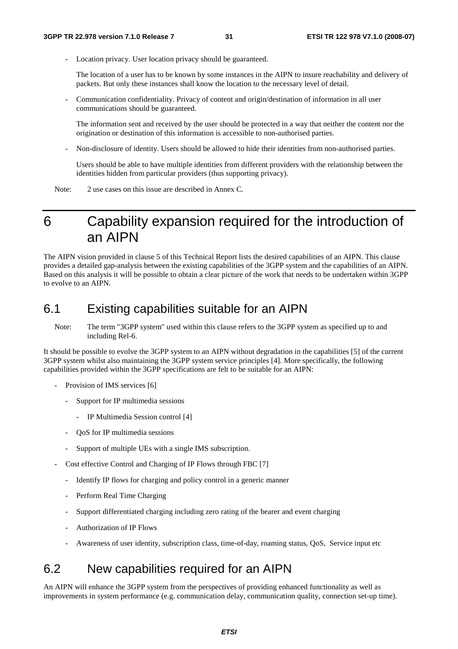Location privacy. User location privacy should be guaranteed.

 The location of a user has to be known by some instances in the AIPN to insure reachability and delivery of packets. But only these instances shall know the location to the necessary level of detail.

- Communication confidentiality. Privacy of content and origin/destination of information in all user communications should be guaranteed.

 The information sent and received by the user should be protected in a way that neither the content nor the origination or destination of this information is accessible to non-authorised parties.

- Non-disclosure of identity. Users should be allowed to hide their identities from non-authorised parties.

 Users should be able to have multiple identities from different providers with the relationship between the identities hidden from particular providers (thus supporting privacy).

Note: 2 use cases on this issue are described in Annex C.

## 6 Capability expansion required for the introduction of an AIPN

The AIPN vision provided in clause 5 of this Technical Report lists the desired capabilities of an AIPN. This clause provides a detailed gap-analysis between the existing capabilities of the 3GPP system and the capabilities of an AIPN. Based on this analysis it will be possible to obtain a clear picture of the work that needs to be undertaken within 3GPP to evolve to an AIPN.

## 6.1 Existing capabilities suitable for an AIPN

Note: The term "3GPP system" used within this clause refers to the 3GPP system as specified up to and including Rel-6.

It should be possible to evolve the 3GPP system to an AIPN without degradation in the capabilities [5] of the current 3GPP system whilst also maintaining the 3GPP system service principles [4]. More specifically, the following capabilities provided within the 3GPP specifications are felt to be suitable for an AIPN:

- Provision of IMS services [6]
	- Support for IP multimedia sessions
		- IP Multimedia Session control [4]
	- QoS for IP multimedia sessions
	- Support of multiple UEs with a single IMS subscription.
- Cost effective Control and Charging of IP Flows through FBC [7]
	- Identify IP flows for charging and policy control in a generic manner
	- Perform Real Time Charging
	- Support differentiated charging including zero rating of the bearer and event charging
	- Authorization of IP Flows
	- Awareness of user identity, subscription class, time-of-day, roaming status, QoS, Service input etc

## 6.2 New capabilities required for an AIPN

An AIPN will enhance the 3GPP system from the perspectives of providing enhanced functionality as well as improvements in system performance (e.g. communication delay, communication quality, connection set-up time).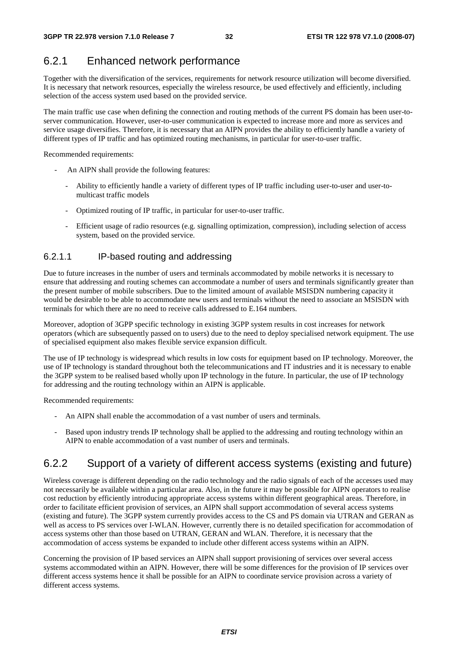## 6.2.1 Enhanced network performance

Together with the diversification of the services, requirements for network resource utilization will become diversified. It is necessary that network resources, especially the wireless resource, be used effectively and efficiently, including selection of the access system used based on the provided service.

The main traffic use case when defining the connection and routing methods of the current PS domain has been user-toserver communication. However, user-to-user communication is expected to increase more and more as services and service usage diversifies. Therefore, it is necessary that an AIPN provides the ability to efficiently handle a variety of different types of IP traffic and has optimized routing mechanisms, in particular for user-to-user traffic.

Recommended requirements:

- An AIPN shall provide the following features:
	- Ability to efficiently handle a variety of different types of IP traffic including user-to-user and user-tomulticast traffic models
	- Optimized routing of IP traffic, in particular for user-to-user traffic.
	- Efficient usage of radio resources (e.g. signalling optimization, compression), including selection of access system, based on the provided service.

## 6.2.1.1 IP-based routing and addressing

Due to future increases in the number of users and terminals accommodated by mobile networks it is necessary to ensure that addressing and routing schemes can accommodate a number of users and terminals significantly greater than the present number of mobile subscribers. Due to the limited amount of available MSISDN numbering capacity it would be desirable to be able to accommodate new users and terminals without the need to associate an MSISDN with terminals for which there are no need to receive calls addressed to E.164 numbers.

Moreover, adoption of 3GPP specific technology in existing 3GPP system results in cost increases for network operators (which are subsequently passed on to users) due to the need to deploy specialised network equipment. The use of specialised equipment also makes flexible service expansion difficult.

The use of IP technology is widespread which results in low costs for equipment based on IP technology. Moreover, the use of IP technology is standard throughout both the telecommunications and IT industries and it is necessary to enable the 3GPP system to be realised based wholly upon IP technology in the future. In particular, the use of IP technology for addressing and the routing technology within an AIPN is applicable.

Recommended requirements:

- An AIPN shall enable the accommodation of a vast number of users and terminals.
- Based upon industry trends IP technology shall be applied to the addressing and routing technology within an AIPN to enable accommodation of a vast number of users and terminals.

## 6.2.2 Support of a variety of different access systems (existing and future)

Wireless coverage is different depending on the radio technology and the radio signals of each of the accesses used may not necessarily be available within a particular area. Also, in the future it may be possible for AIPN operators to realise cost reduction by efficiently introducing appropriate access systems within different geographical areas. Therefore, in order to facilitate efficient provision of services, an AIPN shall support accommodation of several access systems (existing and future). The 3GPP system currently provides access to the CS and PS domain via UTRAN and GERAN as well as access to PS services over I-WLAN. However, currently there is no detailed specification for accommodation of access systems other than those based on UTRAN, GERAN and WLAN. Therefore, it is necessary that the accommodation of access systems be expanded to include other different access systems within an AIPN.

Concerning the provision of IP based services an AIPN shall support provisioning of services over several access systems accommodated within an AIPN. However, there will be some differences for the provision of IP services over different access systems hence it shall be possible for an AIPN to coordinate service provision across a variety of different access systems.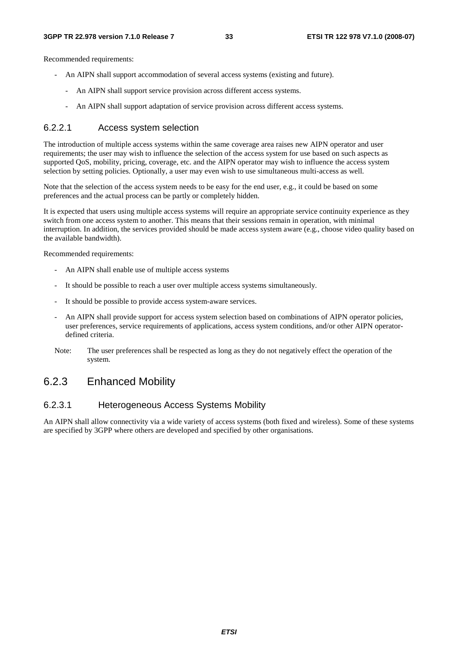Recommended requirements:

- An AIPN shall support accommodation of several access systems (existing and future).
	- An AIPN shall support service provision across different access systems.
		- An AIPN shall support adaptation of service provision across different access systems.

### 6.2.2.1 Access system selection

The introduction of multiple access systems within the same coverage area raises new AIPN operator and user requirements; the user may wish to influence the selection of the access system for use based on such aspects as supported QoS, mobility, pricing, coverage, etc. and the AIPN operator may wish to influence the access system selection by setting policies. Optionally, a user may even wish to use simultaneous multi-access as well.

Note that the selection of the access system needs to be easy for the end user, e.g., it could be based on some preferences and the actual process can be partly or completely hidden.

It is expected that users using multiple access systems will require an appropriate service continuity experience as they switch from one access system to another. This means that their sessions remain in operation, with minimal interruption. In addition, the services provided should be made access system aware (e.g., choose video quality based on the available bandwidth).

Recommended requirements:

- An AIPN shall enable use of multiple access systems
- It should be possible to reach a user over multiple access systems simultaneously.
- It should be possible to provide access system-aware services.
- An AIPN shall provide support for access system selection based on combinations of AIPN operator policies, user preferences, service requirements of applications, access system conditions, and/or other AIPN operatordefined criteria.
- Note: The user preferences shall be respected as long as they do not negatively effect the operation of the system.

## 6.2.3 Enhanced Mobility

## 6.2.3.1 Heterogeneous Access Systems Mobility

An AIPN shall allow connectivity via a wide variety of access systems (both fixed and wireless). Some of these systems are specified by 3GPP where others are developed and specified by other organisations.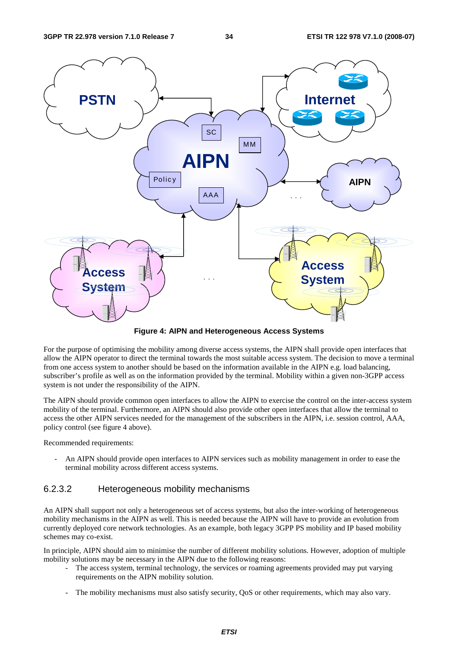

**Figure 4: AIPN and Heterogeneous Access Systems** 

For the purpose of optimising the mobility among diverse access systems, the AIPN shall provide open interfaces that allow the AIPN operator to direct the terminal towards the most suitable access system. The decision to move a terminal from one access system to another should be based on the information available in the AIPN e.g. load balancing, subscriber's profile as well as on the information provided by the terminal. Mobility within a given non-3GPP access system is not under the responsibility of the AIPN.

The AIPN should provide common open interfaces to allow the AIPN to exercise the control on the inter-access system mobility of the terminal. Furthermore, an AIPN should also provide other open interfaces that allow the terminal to access the other AIPN services needed for the management of the subscribers in the AIPN, i.e. session control, AAA, policy control (see figure 4 above).

Recommended requirements:

An AIPN should provide open interfaces to AIPN services such as mobility management in order to ease the terminal mobility across different access systems.

## 6.2.3.2 Heterogeneous mobility mechanisms

An AIPN shall support not only a heterogeneous set of access systems, but also the inter-working of heterogeneous mobility mechanisms in the AIPN as well. This is needed because the AIPN will have to provide an evolution from currently deployed core network technologies. As an example, both legacy 3GPP PS mobility and IP based mobility schemes may co-exist.

In principle, AIPN should aim to minimise the number of different mobility solutions. However, adoption of multiple mobility solutions may be necessary in the AIPN due to the following reasons:

- The access system, terminal technology, the services or roaming agreements provided may put varying requirements on the AIPN mobility solution.
- The mobility mechanisms must also satisfy security, QoS or other requirements, which may also vary.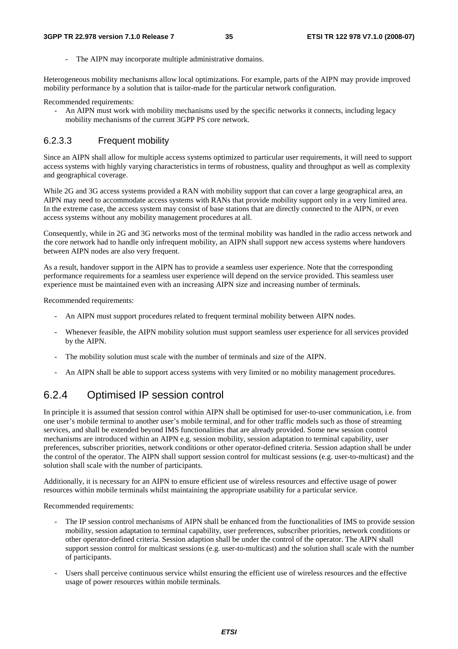The AIPN may incorporate multiple administrative domains.

Heterogeneous mobility mechanisms allow local optimizations. For example, parts of the AIPN may provide improved mobility performance by a solution that is tailor-made for the particular network configuration.

Recommended requirements:

- An AIPN must work with mobility mechanisms used by the specific networks it connects, including legacy mobility mechanisms of the current 3GPP PS core network.

### 6.2.3.3 Frequent mobility

Since an AIPN shall allow for multiple access systems optimized to particular user requirements, it will need to support access systems with highly varying characteristics in terms of robustness, quality and throughput as well as complexity and geographical coverage.

While 2G and 3G access systems provided a RAN with mobility support that can cover a large geographical area, an AIPN may need to accommodate access systems with RANs that provide mobility support only in a very limited area. In the extreme case, the access system may consist of base stations that are directly connected to the AIPN, or even access systems without any mobility management procedures at all.

Consequently, while in 2G and 3G networks most of the terminal mobility was handled in the radio access network and the core network had to handle only infrequent mobility, an AIPN shall support new access systems where handovers between AIPN nodes are also very frequent.

As a result, handover support in the AIPN has to provide a seamless user experience. Note that the corresponding performance requirements for a seamless user experience will depend on the service provided. This seamless user experience must be maintained even with an increasing AIPN size and increasing number of terminals.

Recommended requirements:

- An AIPN must support procedures related to frequent terminal mobility between AIPN nodes.
- Whenever feasible, the AIPN mobility solution must support seamless user experience for all services provided by the AIPN.
- The mobility solution must scale with the number of terminals and size of the AIPN.
- An AIPN shall be able to support access systems with very limited or no mobility management procedures.

## 6.2.4 Optimised IP session control

In principle it is assumed that session control within AIPN shall be optimised for user-to-user communication, i.e. from one user's mobile terminal to another user's mobile terminal, and for other traffic models such as those of streaming services, and shall be extended beyond IMS functionalities that are already provided. Some new session control mechanisms are introduced within an AIPN e.g. session mobility, session adaptation to terminal capability, user preferences, subscriber priorities, network conditions or other operator-defined criteria. Session adaption shall be under the control of the operator. The AIPN shall support session control for multicast sessions (e.g. user-to-multicast) and the solution shall scale with the number of participants.

Additionally, it is necessary for an AIPN to ensure efficient use of wireless resources and effective usage of power resources within mobile terminals whilst maintaining the appropriate usability for a particular service.

Recommended requirements:

- The IP session control mechanisms of AIPN shall be enhanced from the functionalities of IMS to provide session mobility, session adaptation to terminal capability, user preferences, subscriber priorities, network conditions or other operator-defined criteria. Session adaption shall be under the control of the operator. The AIPN shall support session control for multicast sessions (e.g. user-to-multicast) and the solution shall scale with the number of participants.
- Users shall perceive continuous service whilst ensuring the efficient use of wireless resources and the effective usage of power resources within mobile terminals.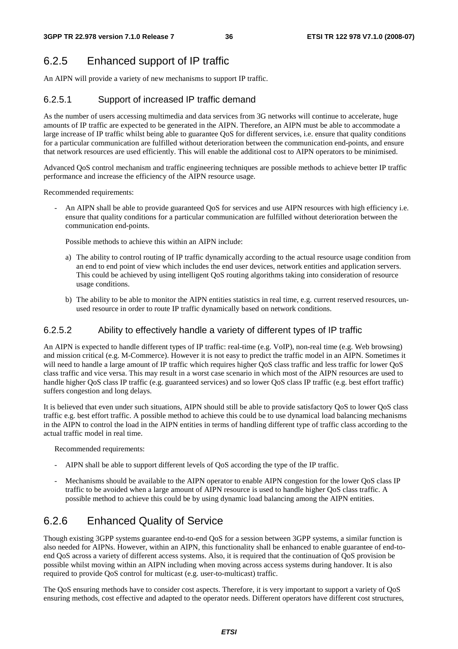## 6.2.5 Enhanced support of IP traffic

An AIPN will provide a variety of new mechanisms to support IP traffic.

## 6.2.5.1 Support of increased IP traffic demand

As the number of users accessing multimedia and data services from 3G networks will continue to accelerate, huge amounts of IP traffic are expected to be generated in the AIPN. Therefore, an AIPN must be able to accommodate a large increase of IP traffic whilst being able to guarantee QoS for different services, i.e. ensure that quality conditions for a particular communication are fulfilled without deterioration between the communication end-points, and ensure that network resources are used efficiently. This will enable the additional cost to AIPN operators to be minimised.

Advanced QoS control mechanism and traffic engineering techniques are possible methods to achieve better IP traffic performance and increase the efficiency of the AIPN resource usage.

Recommended requirements:

An AIPN shall be able to provide guaranteed OoS for services and use AIPN resources with high efficiency i.e. ensure that quality conditions for a particular communication are fulfilled without deterioration between the communication end-points.

Possible methods to achieve this within an AIPN include:

- a) The ability to control routing of IP traffic dynamically according to the actual resource usage condition from an end to end point of view which includes the end user devices, network entities and application servers. This could be achieved by using intelligent QoS routing algorithms taking into consideration of resource usage conditions.
- b) The ability to be able to monitor the AIPN entities statistics in real time, e.g. current reserved resources, unused resource in order to route IP traffic dynamically based on network conditions.

## 6.2.5.2 Ability to effectively handle a variety of different types of IP traffic

An AIPN is expected to handle different types of IP traffic: real-time (e.g. VoIP), non-real time (e.g. Web browsing) and mission critical (e.g. M-Commerce). However it is not easy to predict the traffic model in an AIPN. Sometimes it will need to handle a large amount of IP traffic which requires higher QoS class traffic and less traffic for lower QoS class traffic and vice versa. This may result in a worst case scenario in which most of the AIPN resources are used to handle higher QoS class IP traffic (e.g. guaranteed services) and so lower QoS class IP traffic (e.g. best effort traffic) suffers congestion and long delays.

It is believed that even under such situations, AIPN should still be able to provide satisfactory QoS to lower QoS class traffic e.g. best effort traffic. A possible method to achieve this could be to use dynamical load balancing mechanisms in the AIPN to control the load in the AIPN entities in terms of handling different type of traffic class according to the actual traffic model in real time.

Recommended requirements:

- AIPN shall be able to support different levels of QoS according the type of the IP traffic.
- Mechanisms should be available to the AIPN operator to enable AIPN congestion for the lower QoS class IP traffic to be avoided when a large amount of AIPN resource is used to handle higher QoS class traffic. A possible method to achieve this could be by using dynamic load balancing among the AIPN entities.

## 6.2.6 Enhanced Quality of Service

Though existing 3GPP systems guarantee end-to-end QoS for a session between 3GPP systems, a similar function is also needed for AIPNs. However, within an AIPN, this functionality shall be enhanced to enable guarantee of end-toend QoS across a variety of different access systems. Also, it is required that the continuation of QoS provision be possible whilst moving within an AIPN including when moving across access systems during handover. It is also required to provide QoS control for multicast (e.g. user-to-multicast) traffic.

The QoS ensuring methods have to consider cost aspects. Therefore, it is very important to support a variety of QoS ensuring methods, cost effective and adapted to the operator needs. Different operators have different cost structures,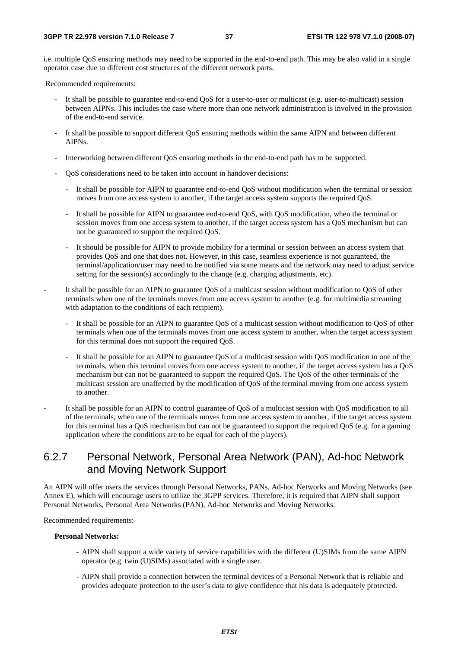i.e. multiple QoS ensuring methods may need to be supported in the end-to-end path. This may be also valid in a single operator case due to different cost structures of the different network parts.

Recommended requirements:

- It shall be possible to guarantee end-to-end QoS for a user-to-user or multicast (e.g. user-to-multicast) session between AIPNs. This includes the case where more than one network administration is involved in the provision of the end-to-end service.
- It shall be possible to support different QoS ensuring methods within the same AIPN and between different AIPNs.
- Interworking between different QoS ensuring methods in the end-to-end path has to be supported.
- QoS considerations need to be taken into account in handover decisions:
	- It shall be possible for AIPN to guarantee end-to-end QoS without modification when the terminal or session moves from one access system to another, if the target access system supports the required QoS.
	- It shall be possible for AIPN to guarantee end-to-end QoS, with QoS modification, when the terminal or session moves from one access system to another, if the target access system has a QoS mechanism but can not be guaranteed to support the required QoS.
	- It should be possible for AIPN to provide mobility for a terminal or session between an access system that provides QoS and one that does not. However, in this case, seamless experience is not guaranteed, the terminal/application/user may need to be notified via some means and the network may need to adjust service setting for the session(s) accordingly to the change (e.g. charging adjustments, etc).
- It shall be possible for an AIPN to guarantee QoS of a multicast session without modification to QoS of other terminals when one of the terminals moves from one access system to another (e.g. for multimedia streaming with adaptation to the conditions of each recipient).
	- It shall be possible for an AIPN to guarantee QoS of a multicast session without modification to QoS of other terminals when one of the terminals moves from one access system to another, when the target access system for this terminal does not support the required QoS.
	- It shall be possible for an AIPN to guarantee OoS of a multicast session with OoS modification to one of the terminals, when this terminal moves from one access system to another, if the target access system has a QoS mechanism but can not be guaranteed to support the required QoS. The QoS of the other terminals of the multicast session are unaffected by the modification of QoS of the terminal moving from one access system to another.
- It shall be possible for an AIPN to control guarantee of QoS of a multicast session with QoS modification to all of the terminals, when one of the terminals moves from one access system to another, if the target access system for this terminal has a QoS mechanism but can not be guaranteed to support the required QoS (e.g. for a gaming application where the conditions are to be equal for each of the players).

## 6.2.7 Personal Network, Personal Area Network (PAN), Ad-hoc Network and Moving Network Support

An AIPN will offer users the services through Personal Networks, PANs, Ad-hoc Networks and Moving Networks (see Annex E), which will encourage users to utilize the 3GPP services. Therefore, it is required that AIPN shall support Personal Networks, Personal Area Networks (PAN), Ad-hoc Networks and Moving Networks.

Recommended requirements:

#### **Personal Networks:**

- AIPN shall support a wide variety of service capabilities with the different (U)SIMs from the same AIPN operator (e.g. twin (U)SIMs) associated with a single user.
- AIPN shall provide a connection between the terminal devices of a Personal Network that is reliable and provides adequate protection to the user's data to give confidence that his data is adequately protected.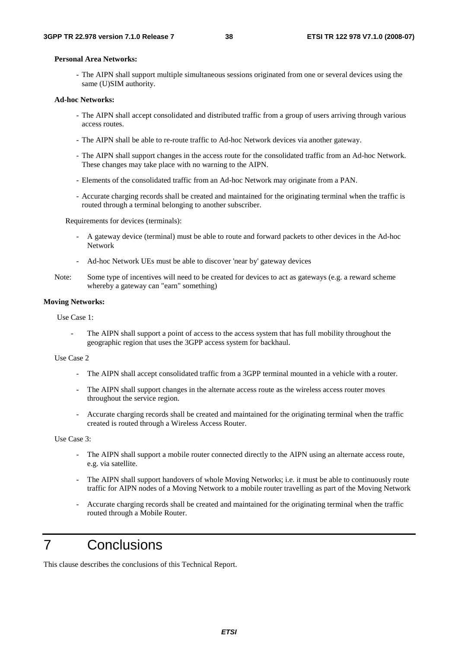#### **Personal Area Networks:**

- The AIPN shall support multiple simultaneous sessions originated from one or several devices using the same (U)SIM authority.

#### **Ad-hoc Networks:**

- The AIPN shall accept consolidated and distributed traffic from a group of users arriving through various access routes.
- The AIPN shall be able to re-route traffic to Ad-hoc Network devices via another gateway.
- The AIPN shall support changes in the access route for the consolidated traffic from an Ad-hoc Network. These changes may take place with no warning to the AIPN.
- Elements of the consolidated traffic from an Ad-hoc Network may originate from a PAN.
- Accurate charging records shall be created and maintained for the originating terminal when the traffic is routed through a terminal belonging to another subscriber.

Requirements for devices (terminals):

- A gateway device (terminal) must be able to route and forward packets to other devices in the Ad-hoc Network
- Ad-hoc Network UEs must be able to discover 'near by' gateway devices
- Note: Some type of incentives will need to be created for devices to act as gateways (e.g. a reward scheme whereby a gateway can "earn" something)

#### **Moving Networks:**

Use Case 1:

The AIPN shall support a point of access to the access system that has full mobility throughout the geographic region that uses the 3GPP access system for backhaul.

#### Use Case 2

- The AIPN shall accept consolidated traffic from a 3GPP terminal mounted in a vehicle with a router.
- The AIPN shall support changes in the alternate access route as the wireless access router moves throughout the service region.
- Accurate charging records shall be created and maintained for the originating terminal when the traffic created is routed through a Wireless Access Router.

Use Case 3:

- The AIPN shall support a mobile router connected directly to the AIPN using an alternate access route, e.g. via satellite.
- The AIPN shall support handovers of whole Moving Networks; i.e. it must be able to continuously route traffic for AIPN nodes of a Moving Network to a mobile router travelling as part of the Moving Network
- Accurate charging records shall be created and maintained for the originating terminal when the traffic routed through a Mobile Router.

## 7 Conclusions

This clause describes the conclusions of this Technical Report.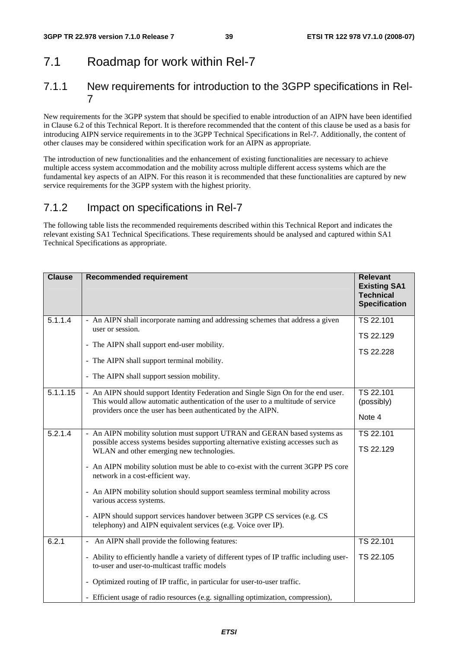## 7.1 Roadmap for work within Rel-7

## 7.1.1 New requirements for introduction to the 3GPP specifications in Rel-7

New requirements for the 3GPP system that should be specified to enable introduction of an AIPN have been identified in Clause 6.2 of this Technical Report. It is therefore recommended that the content of this clause be used as a basis for introducing AIPN service requirements in to the 3GPP Technical Specifications in Rel-7. Additionally, the content of other clauses may be considered within specification work for an AIPN as appropriate.

The introduction of new functionalities and the enhancement of existing functionalities are necessary to achieve multiple access system accommodation and the mobility across multiple different access systems which are the fundamental key aspects of an AIPN. For this reason it is recommended that these functionalities are captured by new service requirements for the 3GPP system with the highest priority.

## 7.1.2 Impact on specifications in Rel-7

The following table lists the recommended requirements described within this Technical Report and indicates the relevant existing SA1 Technical Specifications. These requirements should be analysed and captured within SA1 Technical Specifications as appropriate.

| <b>Clause</b> | <b>Recommended requirement</b>                                                                                                                                                                                                                                                                                                                                                                                                                                                                                                                                                                | <b>Relevant</b><br><b>Existing SA1</b><br><b>Technical</b><br><b>Specification</b> |
|---------------|-----------------------------------------------------------------------------------------------------------------------------------------------------------------------------------------------------------------------------------------------------------------------------------------------------------------------------------------------------------------------------------------------------------------------------------------------------------------------------------------------------------------------------------------------------------------------------------------------|------------------------------------------------------------------------------------|
| 5.1.1.4       | - An AIPN shall incorporate naming and addressing schemes that address a given<br>user or session.<br>- The AIPN shall support end-user mobility.<br>- The AIPN shall support terminal mobility.<br>- The AIPN shall support session mobility.                                                                                                                                                                                                                                                                                                                                                | TS 22.101<br>TS 22.129<br>TS 22.228                                                |
| 5.1.1.15      | - An AIPN should support Identity Federation and Single Sign On for the end user.<br>This would allow automatic authentication of the user to a multitude of service<br>providers once the user has been authenticated by the AIPN.                                                                                                                                                                                                                                                                                                                                                           | TS 22.101<br>(possibly)<br>Note 4                                                  |
| 5.2.1.4       | - An AIPN mobility solution must support UTRAN and GERAN based systems as<br>possible access systems besides supporting alternative existing accesses such as<br>WLAN and other emerging new technologies.<br>- An AIPN mobility solution must be able to co-exist with the current 3GPP PS core<br>network in a cost-efficient way.<br>- An AIPN mobility solution should support seamless terminal mobility across<br>various access systems.<br>- AIPN should support services handover between 3GPP CS services (e.g. CS<br>telephony) and AIPN equivalent services (e.g. Voice over IP). | TS 22.101<br>TS 22.129                                                             |
| 6.2.1         | - An AIPN shall provide the following features:<br>- Ability to efficiently handle a variety of different types of IP traffic including user-<br>to-user and user-to-multicast traffic models<br>- Optimized routing of IP traffic, in particular for user-to-user traffic.<br>- Efficient usage of radio resources (e.g. signalling optimization, compression),                                                                                                                                                                                                                              | TS 22.101<br>TS 22.105                                                             |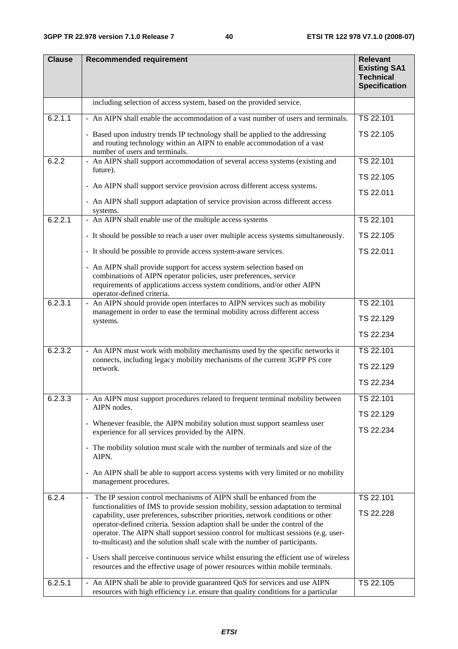| <b>Clause</b> | <b>Recommended requirement</b>                                                                                                                                                             | <b>Relevant</b><br><b>Existing SA1</b><br><b>Technical</b><br><b>Specification</b> |
|---------------|--------------------------------------------------------------------------------------------------------------------------------------------------------------------------------------------|------------------------------------------------------------------------------------|
|               | including selection of access system, based on the provided service.                                                                                                                       |                                                                                    |
| 6.2.1.1       | - An AIPN shall enable the accommodation of a vast number of users and terminals.                                                                                                          | TS 22.101                                                                          |
|               | - Based upon industry trends IP technology shall be applied to the addressing<br>and routing technology within an AIPN to enable accommodation of a vast<br>number of users and terminals. | TS 22.105                                                                          |
| 6.2.2         | - An AIPN shall support accommodation of several access systems (existing and                                                                                                              | TS 22.101                                                                          |
|               | future).                                                                                                                                                                                   | TS 22.105                                                                          |
|               | - An AIPN shall support service provision across different access systems.                                                                                                                 | TS 22.011                                                                          |
|               | - An AIPN shall support adaptation of service provision across different access<br>systems.                                                                                                |                                                                                    |
| 6.2.2.1       | - An AIPN shall enable use of the multiple access systems                                                                                                                                  | TS 22.101                                                                          |
|               | - It should be possible to reach a user over multiple access systems simultaneously.                                                                                                       | TS 22.105                                                                          |
|               | - It should be possible to provide access system-aware services.                                                                                                                           | TS 22.011                                                                          |
|               | - An AIPN shall provide support for access system selection based on                                                                                                                       |                                                                                    |
|               | combinations of AIPN operator policies, user preferences, service                                                                                                                          |                                                                                    |
|               | requirements of applications access system conditions, and/or other AIPN<br>operator-defined criteria.                                                                                     |                                                                                    |
| 6.2.3.1       | - An AIPN should provide open interfaces to AIPN services such as mobility<br>management in order to ease the terminal mobility across different access                                    | TS 22.101                                                                          |
|               | systems.                                                                                                                                                                                   | TS 22.129                                                                          |
|               |                                                                                                                                                                                            | TS 22.234                                                                          |
| 6.2.3.2       | - An AIPN must work with mobility mechanisms used by the specific networks it                                                                                                              | TS 22.101                                                                          |
|               | connects, including legacy mobility mechanisms of the current 3GPP PS core<br>network.                                                                                                     | TS 22.129                                                                          |
|               |                                                                                                                                                                                            | TS 22.234                                                                          |
| 6.2.3.3       | - An AIPN must support procedures related to frequent terminal mobility between                                                                                                            | TS 22.101                                                                          |
|               | AIPN nodes.                                                                                                                                                                                | TS 22.129                                                                          |
|               | - Whenever feasible, the AIPN mobility solution must support seamless user                                                                                                                 |                                                                                    |
|               | experience for all services provided by the AIPN.                                                                                                                                          | TS 22.234                                                                          |
|               | - The mobility solution must scale with the number of terminals and size of the<br>AIPN.                                                                                                   |                                                                                    |
|               | - An AIPN shall be able to support access systems with very limited or no mobility<br>management procedures.                                                                               |                                                                                    |
| 6.2.4         | - The IP session control mechanisms of AIPN shall be enhanced from the                                                                                                                     | TS 22.101                                                                          |
|               | functionalities of IMS to provide session mobility, session adaptation to terminal<br>capability, user preferences, subscriber priorities, network conditions or other                     | TS 22.228                                                                          |
|               | operator-defined criteria. Session adaption shall be under the control of the<br>operator. The AIPN shall support session control for multicast sessions (e.g. user-                       |                                                                                    |
|               | to-multicast) and the solution shall scale with the number of participants.                                                                                                                |                                                                                    |
|               | - Users shall perceive continuous service whilst ensuring the efficient use of wireless<br>resources and the effective usage of power resources within mobile terminals.                   |                                                                                    |
| 6.2.5.1       | - An AIPN shall be able to provide guaranteed QoS for services and use AIPN<br>resources with high efficiency i.e. ensure that quality conditions for a particular                         | TS 22.105                                                                          |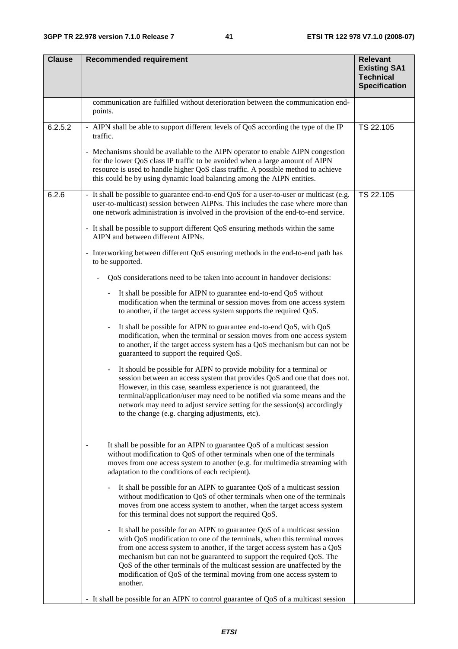| <b>Clause</b> | <b>Recommended requirement</b>                                                                                                                                                                                                                                                                                                                                                                                                                                                                                                                                                                                                                                                                                                                                                                                                                                                                                                                                                                                                                                                                                                                                                                                                                                                                                                                                                                                                                                                                                                                                                                                                                                                                                                                                                                                                                                                                                                                                                                                                                                                                                                                                                                                                                                                                                                                                                                                                                                                                                                                                                                                                                                                | <b>Relevant</b><br><b>Existing SA1</b><br><b>Technical</b><br><b>Specification</b> |
|---------------|-------------------------------------------------------------------------------------------------------------------------------------------------------------------------------------------------------------------------------------------------------------------------------------------------------------------------------------------------------------------------------------------------------------------------------------------------------------------------------------------------------------------------------------------------------------------------------------------------------------------------------------------------------------------------------------------------------------------------------------------------------------------------------------------------------------------------------------------------------------------------------------------------------------------------------------------------------------------------------------------------------------------------------------------------------------------------------------------------------------------------------------------------------------------------------------------------------------------------------------------------------------------------------------------------------------------------------------------------------------------------------------------------------------------------------------------------------------------------------------------------------------------------------------------------------------------------------------------------------------------------------------------------------------------------------------------------------------------------------------------------------------------------------------------------------------------------------------------------------------------------------------------------------------------------------------------------------------------------------------------------------------------------------------------------------------------------------------------------------------------------------------------------------------------------------------------------------------------------------------------------------------------------------------------------------------------------------------------------------------------------------------------------------------------------------------------------------------------------------------------------------------------------------------------------------------------------------------------------------------------------------------------------------------------------------|------------------------------------------------------------------------------------|
|               | communication are fulfilled without deterioration between the communication end-<br>points.                                                                                                                                                                                                                                                                                                                                                                                                                                                                                                                                                                                                                                                                                                                                                                                                                                                                                                                                                                                                                                                                                                                                                                                                                                                                                                                                                                                                                                                                                                                                                                                                                                                                                                                                                                                                                                                                                                                                                                                                                                                                                                                                                                                                                                                                                                                                                                                                                                                                                                                                                                                   |                                                                                    |
| 6.2.5.2       | - AIPN shall be able to support different levels of QoS according the type of the IP<br>traffic.<br>- Mechanisms should be available to the AIPN operator to enable AIPN congestion<br>for the lower QoS class IP traffic to be avoided when a large amount of AIPN<br>resource is used to handle higher QoS class traffic. A possible method to achieve<br>this could be by using dynamic load balancing among the AIPN entities.                                                                                                                                                                                                                                                                                                                                                                                                                                                                                                                                                                                                                                                                                                                                                                                                                                                                                                                                                                                                                                                                                                                                                                                                                                                                                                                                                                                                                                                                                                                                                                                                                                                                                                                                                                                                                                                                                                                                                                                                                                                                                                                                                                                                                                            | TS 22.105                                                                          |
| 6.2.6         | - It shall be possible to guarantee end-to-end QoS for a user-to-user or multicast (e.g.<br>user-to-multicast) session between AIPNs. This includes the case where more than<br>one network administration is involved in the provision of the end-to-end service.<br>- It shall be possible to support different QoS ensuring methods within the same<br>AIPN and between different AIPNs.<br>- Interworking between different QoS ensuring methods in the end-to-end path has<br>to be supported.<br>QoS considerations need to be taken into account in handover decisions:<br>It shall be possible for AIPN to guarantee end-to-end QoS without<br>$\overline{\phantom{0}}$<br>modification when the terminal or session moves from one access system<br>to another, if the target access system supports the required QoS.<br>It shall be possible for AIPN to guarantee end-to-end QoS, with QoS<br>$\qquad \qquad \blacksquare$<br>modification, when the terminal or session moves from one access system<br>to another, if the target access system has a QoS mechanism but can not be<br>guaranteed to support the required QoS.<br>It should be possible for AIPN to provide mobility for a terminal or<br>session between an access system that provides QoS and one that does not.<br>However, in this case, seamless experience is not guaranteed, the<br>terminal/application/user may need to be notified via some means and the<br>network may need to adjust service setting for the session(s) accordingly<br>to the change (e.g. charging adjustments, etc).<br>It shall be possible for an AIPN to guarantee QoS of a multicast session<br>without modification to QoS of other terminals when one of the terminals<br>moves from one access system to another (e.g. for multimedia streaming with<br>adaptation to the conditions of each recipient).<br>It shall be possible for an AIPN to guarantee QoS of a multicast session<br>without modification to QoS of other terminals when one of the terminals<br>moves from one access system to another, when the target access system<br>for this terminal does not support the required QoS.<br>It shall be possible for an AIPN to guarantee QoS of a multicast session<br>$\overline{\phantom{a}}$<br>with QoS modification to one of the terminals, when this terminal moves<br>from one access system to another, if the target access system has a QoS<br>mechanism but can not be guaranteed to support the required QoS. The<br>QoS of the other terminals of the multicast session are unaffected by the<br>modification of QoS of the terminal moving from one access system to<br>another. | TS 22.105                                                                          |
|               | - It shall be possible for an AIPN to control guarantee of QoS of a multicast session                                                                                                                                                                                                                                                                                                                                                                                                                                                                                                                                                                                                                                                                                                                                                                                                                                                                                                                                                                                                                                                                                                                                                                                                                                                                                                                                                                                                                                                                                                                                                                                                                                                                                                                                                                                                                                                                                                                                                                                                                                                                                                                                                                                                                                                                                                                                                                                                                                                                                                                                                                                         |                                                                                    |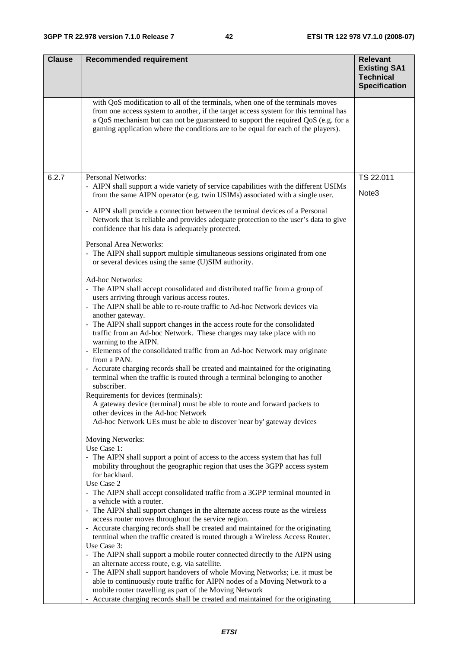| <b>Clause</b> | <b>Recommended requirement</b>                                                                                                                                                                                                                                                                                                                   | <b>Relevant</b><br><b>Existing SA1</b><br><b>Technical</b><br><b>Specification</b> |
|---------------|--------------------------------------------------------------------------------------------------------------------------------------------------------------------------------------------------------------------------------------------------------------------------------------------------------------------------------------------------|------------------------------------------------------------------------------------|
|               | with QoS modification to all of the terminals, when one of the terminals moves<br>from one access system to another, if the target access system for this terminal has<br>a QoS mechanism but can not be guaranteed to support the required QoS (e.g. for a<br>gaming application where the conditions are to be equal for each of the players). |                                                                                    |
| 6.2.7         | Personal Networks:                                                                                                                                                                                                                                                                                                                               | TS 22.011                                                                          |
|               | - AIPN shall support a wide variety of service capabilities with the different USIMs<br>from the same AIPN operator (e.g. twin USIMs) associated with a single user.                                                                                                                                                                             | Note3                                                                              |
|               | - AIPN shall provide a connection between the terminal devices of a Personal<br>Network that is reliable and provides adequate protection to the user's data to give<br>confidence that his data is adequately protected.                                                                                                                        |                                                                                    |
|               | Personal Area Networks:<br>- The AIPN shall support multiple simultaneous sessions originated from one<br>or several devices using the same (U)SIM authority.                                                                                                                                                                                    |                                                                                    |
|               | Ad-hoc Networks:                                                                                                                                                                                                                                                                                                                                 |                                                                                    |
|               | - The AIPN shall accept consolidated and distributed traffic from a group of<br>users arriving through various access routes.                                                                                                                                                                                                                    |                                                                                    |
|               | - The AIPN shall be able to re-route traffic to Ad-hoc Network devices via                                                                                                                                                                                                                                                                       |                                                                                    |
|               | another gateway.<br>- The AIPN shall support changes in the access route for the consolidated<br>traffic from an Ad-hoc Network. These changes may take place with no<br>warning to the AIPN.                                                                                                                                                    |                                                                                    |
|               | - Elements of the consolidated traffic from an Ad-hoc Network may originate<br>from a PAN.                                                                                                                                                                                                                                                       |                                                                                    |
|               | - Accurate charging records shall be created and maintained for the originating<br>terminal when the traffic is routed through a terminal belonging to another<br>subscriber.                                                                                                                                                                    |                                                                                    |
|               | Requirements for devices (terminals):                                                                                                                                                                                                                                                                                                            |                                                                                    |
|               | A gateway device (terminal) must be able to route and forward packets to<br>other devices in the Ad-hoc Network                                                                                                                                                                                                                                  |                                                                                    |
|               | Ad-hoc Network UEs must be able to discover 'near by' gateway devices                                                                                                                                                                                                                                                                            |                                                                                    |
|               | Moving Networks:<br>Use Case 1:                                                                                                                                                                                                                                                                                                                  |                                                                                    |
|               | - The AIPN shall support a point of access to the access system that has full<br>mobility throughout the geographic region that uses the 3GPP access system<br>for backhaul.                                                                                                                                                                     |                                                                                    |
|               | Use Case 2                                                                                                                                                                                                                                                                                                                                       |                                                                                    |
|               | - The AIPN shall accept consolidated traffic from a 3GPP terminal mounted in<br>a vehicle with a router.                                                                                                                                                                                                                                         |                                                                                    |
|               | - The AIPN shall support changes in the alternate access route as the wireless<br>access router moves throughout the service region.                                                                                                                                                                                                             |                                                                                    |
|               | - Accurate charging records shall be created and maintained for the originating<br>terminal when the traffic created is routed through a Wireless Access Router.                                                                                                                                                                                 |                                                                                    |
|               | Use Case 3:<br>- The AIPN shall support a mobile router connected directly to the AIPN using                                                                                                                                                                                                                                                     |                                                                                    |
|               | an alternate access route, e.g. via satellite.                                                                                                                                                                                                                                                                                                   |                                                                                    |
|               | - The AIPN shall support handovers of whole Moving Networks; i.e. it must be<br>able to continuously route traffic for AIPN nodes of a Moving Network to a                                                                                                                                                                                       |                                                                                    |
|               | mobile router travelling as part of the Moving Network<br>- Accurate charging records shall be created and maintained for the originating                                                                                                                                                                                                        |                                                                                    |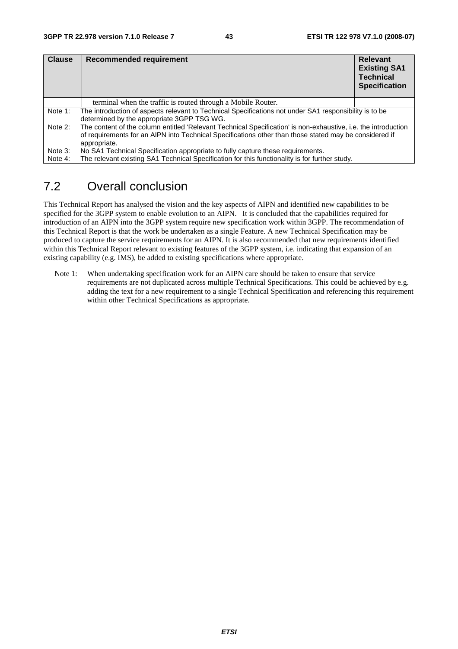| <b>Clause</b> | Recommended requirement                                                                                                                                                                                                                  | <b>Relevant</b><br><b>Existing SA1</b><br><b>Technical</b><br><b>Specification</b> |
|---------------|------------------------------------------------------------------------------------------------------------------------------------------------------------------------------------------------------------------------------------------|------------------------------------------------------------------------------------|
|               | terminal when the traffic is routed through a Mobile Router.                                                                                                                                                                             |                                                                                    |
| Note 1:       | The introduction of aspects relevant to Technical Specifications not under SA1 responsibility is to be<br>determined by the appropriate 3GPP TSG WG.                                                                                     |                                                                                    |
| Note 2:       | The content of the column entitled 'Relevant Technical Specification' is non-exhaustive, i.e. the introduction<br>of requirements for an AIPN into Technical Specifications other than those stated may be considered if<br>appropriate. |                                                                                    |
| Note 3:       | No SA1 Technical Specification appropriate to fully capture these requirements.                                                                                                                                                          |                                                                                    |
| Note 4:       | The relevant existing SA1 Technical Specification for this functionality is for further study.                                                                                                                                           |                                                                                    |

## 7.2 Overall conclusion

This Technical Report has analysed the vision and the key aspects of AIPN and identified new capabilities to be specified for the 3GPP system to enable evolution to an AIPN. It is concluded that the capabilities required for introduction of an AIPN into the 3GPP system require new specification work within 3GPP. The recommendation of this Technical Report is that the work be undertaken as a single Feature. A new Technical Specification may be produced to capture the service requirements for an AIPN. It is also recommended that new requirements identified within this Technical Report relevant to existing features of the 3GPP system, i.e. indicating that expansion of an existing capability (e.g. IMS), be added to existing specifications where appropriate.

Note 1: When undertaking specification work for an AIPN care should be taken to ensure that service requirements are not duplicated across multiple Technical Specifications. This could be achieved by e.g. adding the text for a new requirement to a single Technical Specification and referencing this requirement within other Technical Specifications as appropriate.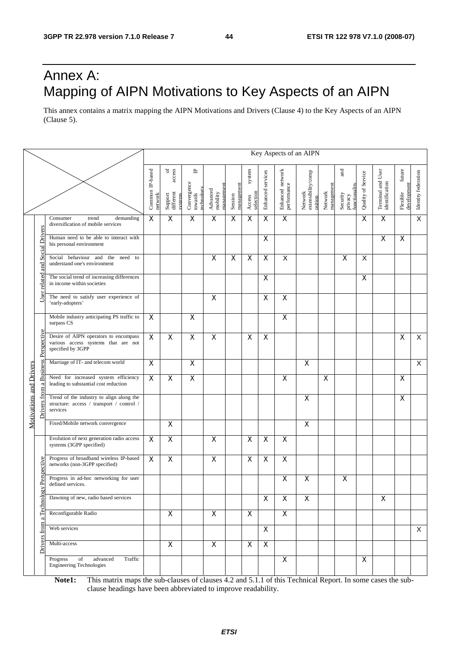## Annex A: Mapping of AIPN Motivations to Key Aspects of an AIPN

This annex contains a matrix mapping the AIPN Motivations and Drivers (Clause 4) to the Key Aspects of an AIPN (Clause 5).

|                             |                                                                                                   |                                                                                                   |                            |                                                     |                                           |                                   |                       |                               |                           |                                 | Key Aspects of an AIPN                   |                       |                                             |                    |                                     |                                   |                         |
|-----------------------------|---------------------------------------------------------------------------------------------------|---------------------------------------------------------------------------------------------------|----------------------------|-----------------------------------------------------|-------------------------------------------|-----------------------------------|-----------------------|-------------------------------|---------------------------|---------------------------------|------------------------------------------|-----------------------|---------------------------------------------|--------------------|-------------------------------------|-----------------------------------|-------------------------|
|                             |                                                                                                   |                                                                                                   | Common IP-based<br>network | of $\frac{d}{d}$<br>Support<br>different<br>systems | ٩<br>Convergence<br>towards<br>technology | managemen<br>Advanced<br>mobility | management<br>Session | system<br>selection<br>Access | Enhanced services         | Enhanced network<br>performance | Network<br>extensibility/comp<br>osition | management<br>Network | and<br>functionality<br>Security<br>privacy | Quality of Service | Terminal and User<br>identification | future<br>development<br>Flexible | Identity federation     |
|                             |                                                                                                   | Consumer<br>demanding<br>trend<br>diversification of mobile services                              | $\overline{\mathsf{x}}$    | $\mathsf X$                                         | $\pmb{\times}$                            | $\overline{\mathsf{x}}$           | X                     | $\mathsf X$                   | X                         | $\pmb{\times}$                  |                                          |                       |                                             | X                  | X                                   |                                   | $\overline{\mathsf{x}}$ |
|                             | <b>Social Drivers</b>                                                                             | Human need to be able to interact with<br>his personal environment                                |                            |                                                     |                                           |                                   |                       |                               | X                         |                                 |                                          |                       |                                             |                    | X                                   | X                                 |                         |
|                             | <b>Rue</b>                                                                                        | Social behaviour and the<br>to<br>need<br>understand one's environment                            |                            |                                                     |                                           | $\mathsf X$                       | X                     | $\mathsf X$                   | $\pmb{\times}$            | X                               |                                          |                       | X                                           | X                  |                                     |                                   |                         |
|                             | related                                                                                           | The social trend of increasing differences<br>in income within societies                          |                            |                                                     |                                           |                                   |                       |                               | X                         |                                 |                                          |                       |                                             | X                  |                                     |                                   |                         |
|                             | User                                                                                              | The need to satisfy user experience of<br>'early-adopters'                                        |                            |                                                     |                                           | X                                 |                       |                               | X                         | $\overline{\mathsf{x}}$         |                                          |                       |                                             |                    |                                     |                                   |                         |
|                             |                                                                                                   | Mobile industry anticipating PS traffic to<br>surpass CS                                          | X                          |                                                     | X                                         |                                   |                       |                               |                           | X                               |                                          |                       |                                             |                    |                                     |                                   |                         |
| <b>Business Perspective</b> | Desire of AIPN operators to encompass<br>various access systems that are not<br>specified by 3GPP | $\overline{\mathsf{x}}$                                                                           | $\overline{\mathsf{x}}$    | $\overline{\mathsf{x}}$                             | X                                         |                                   | X                     | $\mathsf{X}$                  |                           |                                 |                                          |                       |                                             |                    | X                                   | $\overline{X}$                    |                         |
|                             |                                                                                                   | Marriage of IT- and telecom world                                                                 | $\overline{\mathsf{x}}$    |                                                     | $\overline{\mathsf{x}}$                   |                                   |                       |                               |                           |                                 | X                                        |                       |                                             |                    |                                     |                                   | $\overline{X}$          |
|                             | $\mathbf{\sigma}$                                                                                 | Need for increased system efficiency<br>leading to substantial cost reduction                     | $\overline{\mathsf{x}}$    | $\overline{\mathsf{x}}$                             | $\overline{X}$                            |                                   |                       |                               |                           | $\overline{\mathsf{x}}$         |                                          | X                     |                                             |                    |                                     | X                                 |                         |
|                             | <b>Motivations and Drivers</b><br>from<br>vers                                                    | Trend of the industry to align along the<br>structure: access / transport / control /<br>services |                            |                                                     |                                           |                                   |                       |                               |                           |                                 | X                                        |                       |                                             |                    |                                     | X                                 |                         |
|                             |                                                                                                   | Fixed/Mobile network convergence                                                                  |                            | $\overline{\mathsf{x}}$                             |                                           |                                   |                       |                               |                           |                                 | $\overline{\mathsf{x}}$                  |                       |                                             |                    |                                     |                                   |                         |
|                             |                                                                                                   | Evolution of next generation radio access<br>systems (3GPP specified)                             | $\mathsf{X}$               | X                                                   |                                           | $\mathsf{X}$                      |                       | $\mathsf X$                   | $\boldsymbol{\mathsf{X}}$ | $\mathsf{X}$                    |                                          |                       |                                             |                    |                                     |                                   |                         |
|                             |                                                                                                   | Progress of broadband wireless IP-based<br>networks (non-3GPP specified)                          | X                          | $\pmb{\times}$                                      |                                           | $\pmb{\times}$                    |                       | $\pmb{\mathsf{X}}$            | $\pmb{\times}$            | $\pmb{\times}$                  |                                          |                       |                                             |                    |                                     |                                   |                         |
|                             | gy Perspective                                                                                    | Progress in ad-hoc networking for user<br>defined services.                                       |                            |                                                     |                                           |                                   |                       |                               |                           | $\pmb{\times}$                  | $\pmb{\times}$                           |                       | X                                           |                    |                                     |                                   |                         |
|                             | Technol                                                                                           | Dawning of new, radio based services                                                              |                            |                                                     |                                           |                                   |                       |                               | X                         | X                               | X                                        |                       |                                             |                    | X                                   |                                   |                         |
|                             |                                                                                                   | Reconfigurable Radio                                                                              |                            | $\pmb{\mathsf{X}}$                                  |                                           | $\mathsf{X}$                      |                       | $\mathsf{X}$                  |                           | $\mathsf{X}$                    |                                          |                       |                                             |                    |                                     |                                   |                         |
|                             | from                                                                                              | Web services                                                                                      |                            |                                                     |                                           |                                   |                       |                               | X                         |                                 |                                          |                       |                                             |                    |                                     |                                   | $\times$                |
|                             | Drivers                                                                                           | Multi-access                                                                                      |                            | $\overline{X}$                                      |                                           | $\overline{\mathsf{x}}$           |                       | $\pmb{\times}$                | $\mathsf{X}$              |                                 |                                          |                       |                                             |                    |                                     |                                   |                         |
|                             |                                                                                                   | Progress<br>of<br>advanced<br>Traffic<br><b>Engineering Technologies</b>                          |                            |                                                     |                                           |                                   |                       |                               |                           | X                               |                                          |                       |                                             | $\mathsf{X}$       |                                     |                                   |                         |

**Note1:** This matrix maps the sub-clauses of clauses 4.2 and 5.1.1 of this Technical Report. In some cases the subclause headings have been abbreviated to improve readability.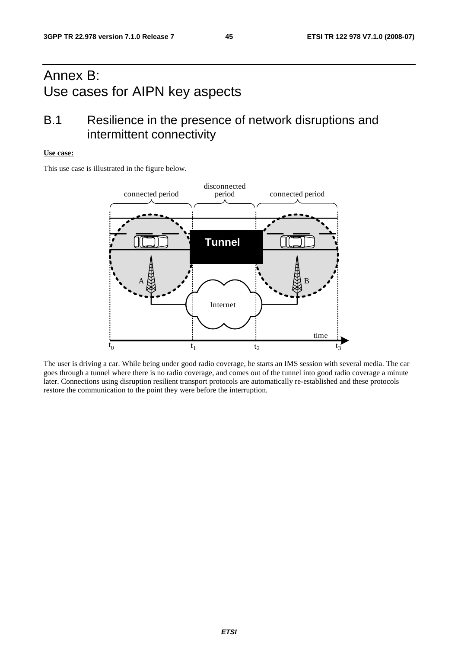## Annex B: Use cases for AIPN key aspects

## B.1 Resilience in the presence of network disruptions and intermittent connectivity

#### **Use case:**

This use case is illustrated in the figure below.



The user is driving a car. While being under good radio coverage, he starts an IMS session with several media. The car goes through a tunnel where there is no radio coverage, and comes out of the tunnel into good radio coverage a minute later. Connections using disruption resilient transport protocols are automatically re-established and these protocols restore the communication to the point they were before the interruption.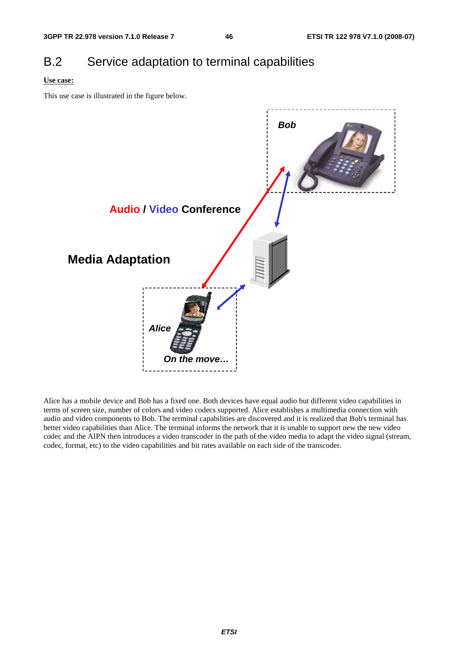## B.2 Service adaptation to terminal capabilities

### **Use case:**

This use case is illustrated in the figure below.



Alice has a mobile device and Bob has a fixed one. Both devices have equal audio but different video capabilities in terms of screen size, number of colors and video codecs supported. Alice establishes a multimedia connection with audio and video components to Bob. The terminal capabilities are discovered and it is realized that Bob's terminal has better video capabilities than Alice. The terminal informs the network that it is unable to support new the new video codec and the AIPN then introduces a video transcoder in the path of the video media to adapt the video signal (stream, codec, format, etc) to the video capabilities and bit rates available on each side of the transcoder.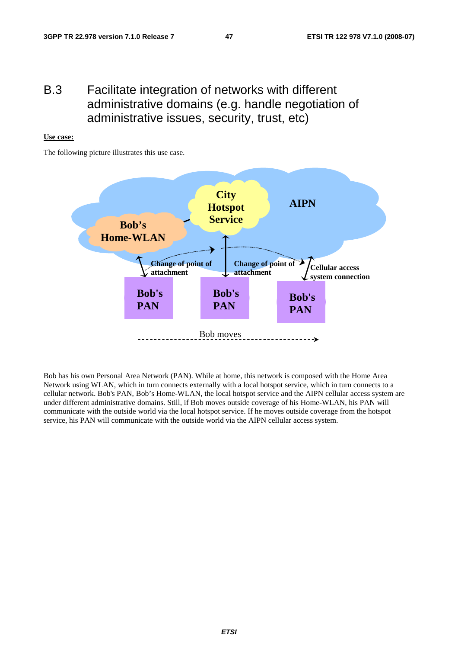## B.3 Facilitate integration of networks with different administrative domains (e.g. handle negotiation of administrative issues, security, trust, etc)

### **Use case:**

The following picture illustrates this use case.



Bob has his own Personal Area Network (PAN). While at home, this network is composed with the Home Area Network using WLAN, which in turn connects externally with a local hotspot service, which in turn connects to a cellular network. Bob's PAN, Bob's Home-WLAN, the local hotspot service and the AIPN cellular access system are under different administrative domains. Still, if Bob moves outside coverage of his Home-WLAN, his PAN will communicate with the outside world via the local hotspot service. If he moves outside coverage from the hotspot service, his PAN will communicate with the outside world via the AIPN cellular access system.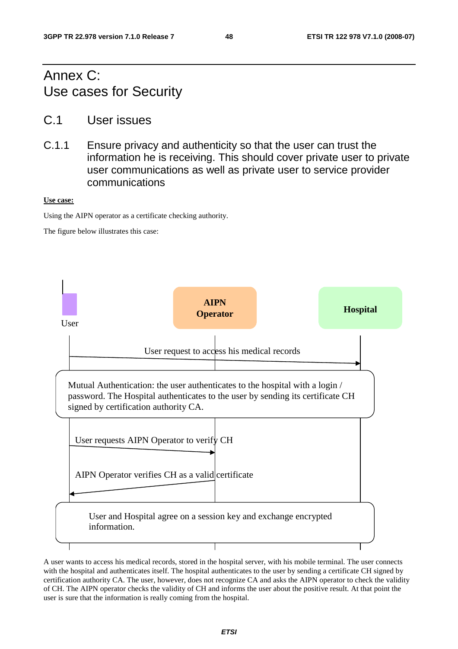## Annex C: Use cases for Security

- C.1 User issues
- C.1.1 Ensure privacy and authenticity so that the user can trust the information he is receiving. This should cover private user to private user communications as well as private user to service provider communications

### **Use case:**

Using the AIPN operator as a certificate checking authority.

The figure below illustrates this case:



A user wants to access his medical records, stored in the hospital server, with his mobile terminal. The user connects with the hospital and authenticates itself. The hospital authenticates to the user by sending a certificate CH signed by certification authority CA. The user, however, does not recognize CA and asks the AIPN operator to check the validity of CH. The AIPN operator checks the validity of CH and informs the user about the positive result. At that point the user is sure that the information is really coming from the hospital.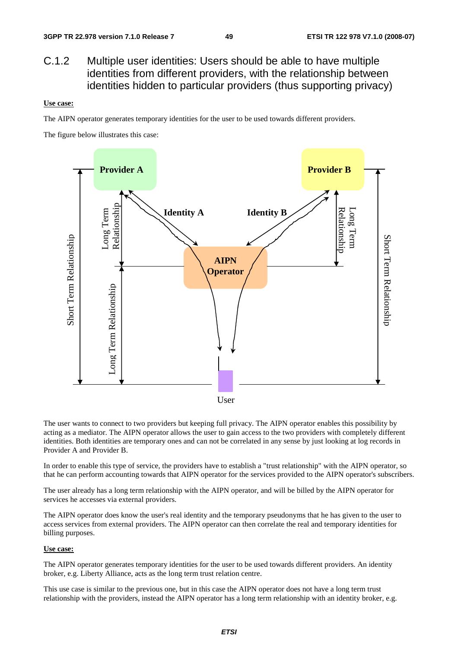## C.1.2 Multiple user identities: Users should be able to have multiple identities from different providers, with the relationship between identities hidden to particular providers (thus supporting privacy)

### **Use case:**

The AIPN operator generates temporary identities for the user to be used towards different providers.

The figure below illustrates this case:



The user wants to connect to two providers but keeping full privacy. The AIPN operator enables this possibility by acting as a mediator. The AIPN operator allows the user to gain access to the two providers with completely different identities. Both identities are temporary ones and can not be correlated in any sense by just looking at log records in Provider A and Provider B.

In order to enable this type of service, the providers have to establish a "trust relationship" with the AIPN operator, so that he can perform accounting towards that AIPN operator for the services provided to the AIPN operator's subscribers.

The user already has a long term relationship with the AIPN operator, and will be billed by the AIPN operator for services he accesses via external providers.

The AIPN operator does know the user's real identity and the temporary pseudonyms that he has given to the user to access services from external providers. The AIPN operator can then correlate the real and temporary identities for billing purposes.

### **Use case:**

The AIPN operator generates temporary identities for the user to be used towards different providers. An identity broker, e.g. Liberty Alliance, acts as the long term trust relation centre.

This use case is similar to the previous one, but in this case the AIPN operator does not have a long term trust relationship with the providers, instead the AIPN operator has a long term relationship with an identity broker, e.g.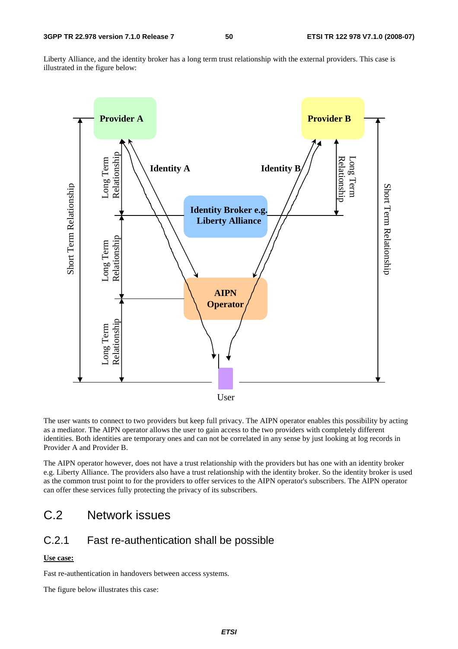Liberty Alliance, and the identity broker has a long term trust relationship with the external providers. This case is illustrated in the figure below:



The user wants to connect to two providers but keep full privacy. The AIPN operator enables this possibility by acting as a mediator. The AIPN operator allows the user to gain access to the two providers with completely different identities. Both identities are temporary ones and can not be correlated in any sense by just looking at log records in Provider A and Provider B.

The AIPN operator however, does not have a trust relationship with the providers but has one with an identity broker e.g. Liberty Alliance. The providers also have a trust relationship with the identity broker. So the identity broker is used as the common trust point to for the providers to offer services to the AIPN operator's subscribers. The AIPN operator can offer these services fully protecting the privacy of its subscribers.

## C.2 Network issues

## C.2.1 Fast re-authentication shall be possible

### **Use case:**

Fast re-authentication in handovers between access systems.

The figure below illustrates this case: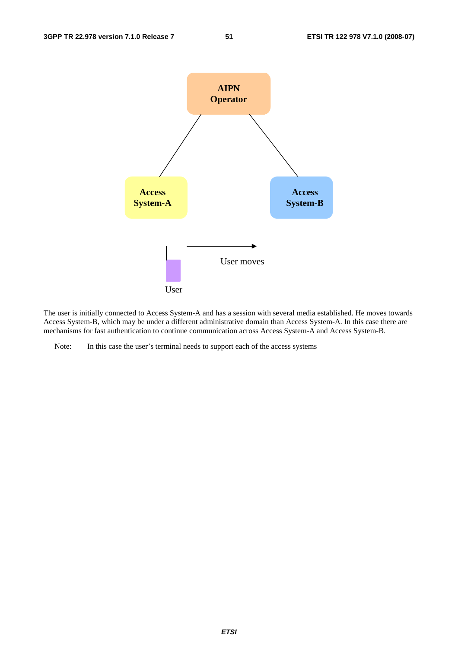

The user is initially connected to Access System-A and has a session with several media established. He moves towards Access System-B, which may be under a different administrative domain than Access System-A. In this case there are mechanisms for fast authentication to continue communication across Access System-A and Access System-B.

Note: In this case the user's terminal needs to support each of the access systems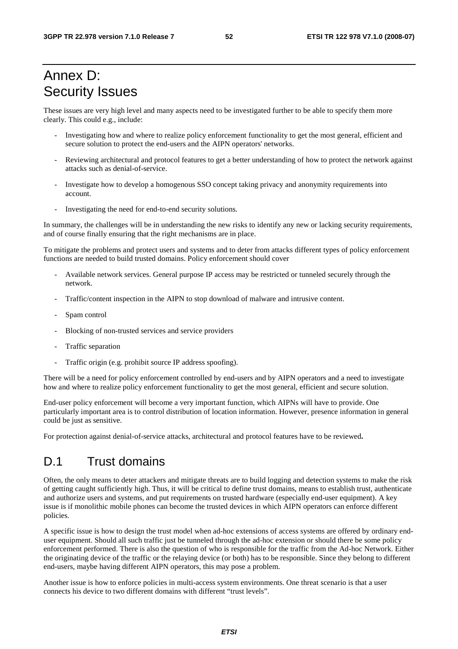## Annex D: Security Issues

These issues are very high level and many aspects need to be investigated further to be able to specify them more clearly. This could e.g., include:

- Investigating how and where to realize policy enforcement functionality to get the most general, efficient and secure solution to protect the end-users and the AIPN operators' networks.
- Reviewing architectural and protocol features to get a better understanding of how to protect the network against attacks such as denial-of-service.
- Investigate how to develop a homogenous SSO concept taking privacy and anonymity requirements into account.
- Investigating the need for end-to-end security solutions.

In summary, the challenges will be in understanding the new risks to identify any new or lacking security requirements, and of course finally ensuring that the right mechanisms are in place.

To mitigate the problems and protect users and systems and to deter from attacks different types of policy enforcement functions are needed to build trusted domains. Policy enforcement should cover

- Available network services. General purpose IP access may be restricted or tunneled securely through the network.
- Traffic/content inspection in the AIPN to stop download of malware and intrusive content.
- Spam control
- Blocking of non-trusted services and service providers
- Traffic separation
- Traffic origin (e.g. prohibit source IP address spoofing).

There will be a need for policy enforcement controlled by end-users and by AIPN operators and a need to investigate how and where to realize policy enforcement functionality to get the most general, efficient and secure solution.

End-user policy enforcement will become a very important function, which AIPNs will have to provide. One particularly important area is to control distribution of location information. However, presence information in general could be just as sensitive.

For protection against denial-of-service attacks, architectural and protocol features have to be reviewed**.** 

## D.1 Trust domains

Often, the only means to deter attackers and mitigate threats are to build logging and detection systems to make the risk of getting caught sufficiently high. Thus, it will be critical to define trust domains, means to establish trust, authenticate and authorize users and systems, and put requirements on trusted hardware (especially end-user equipment). A key issue is if monolithic mobile phones can become the trusted devices in which AIPN operators can enforce different policies.

A specific issue is how to design the trust model when ad-hoc extensions of access systems are offered by ordinary enduser equipment. Should all such traffic just be tunneled through the ad-hoc extension or should there be some policy enforcement performed. There is also the question of who is responsible for the traffic from the Ad-hoc Network. Either the originating device of the traffic or the relaying device (or both) has to be responsible. Since they belong to different end-users, maybe having different AIPN operators, this may pose a problem.

Another issue is how to enforce policies in multi-access system environments. One threat scenario is that a user connects his device to two different domains with different "trust levels".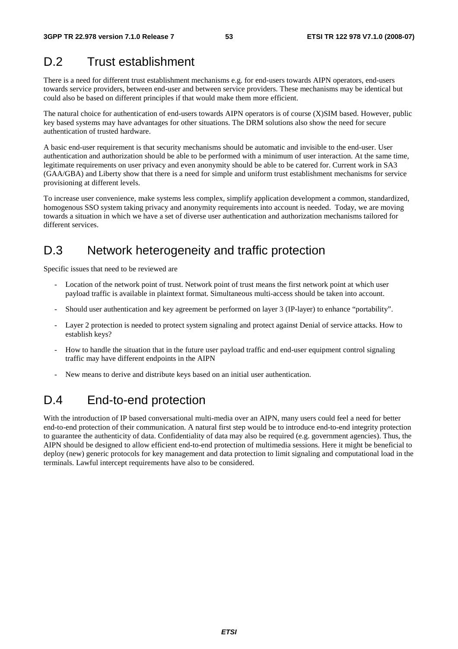## D.2 Trust establishment

There is a need for different trust establishment mechanisms e.g. for end-users towards AIPN operators, end-users towards service providers, between end-user and between service providers. These mechanisms may be identical but could also be based on different principles if that would make them more efficient.

The natural choice for authentication of end-users towards AIPN operators is of course (X)SIM based. However, public key based systems may have advantages for other situations. The DRM solutions also show the need for secure authentication of trusted hardware.

A basic end-user requirement is that security mechanisms should be automatic and invisible to the end-user. User authentication and authorization should be able to be performed with a minimum of user interaction. At the same time, legitimate requirements on user privacy and even anonymity should be able to be catered for. Current work in SA3 (GAA/GBA) and Liberty show that there is a need for simple and uniform trust establishment mechanisms for service provisioning at different levels.

To increase user convenience, make systems less complex, simplify application development a common, standardized, homogenous SSO system taking privacy and anonymity requirements into account is needed. Today, we are moving towards a situation in which we have a set of diverse user authentication and authorization mechanisms tailored for different services.

## D.3 Network heterogeneity and traffic protection

Specific issues that need to be reviewed are

- Location of the network point of trust. Network point of trust means the first network point at which user payload traffic is available in plaintext format. Simultaneous multi-access should be taken into account.
- Should user authentication and key agreement be performed on layer 3 (IP-layer) to enhance "portability".
- Layer 2 protection is needed to protect system signaling and protect against Denial of service attacks. How to establish keys?
- How to handle the situation that in the future user payload traffic and end-user equipment control signaling traffic may have different endpoints in the AIPN
- New means to derive and distribute keys based on an initial user authentication.

## D.4 End-to-end protection

With the introduction of IP based conversational multi-media over an AIPN, many users could feel a need for better end-to-end protection of their communication. A natural first step would be to introduce end-to-end integrity protection to guarantee the authenticity of data. Confidentiality of data may also be required (e.g. government agencies). Thus, the AIPN should be designed to allow efficient end-to-end protection of multimedia sessions. Here it might be beneficial to deploy (new) generic protocols for key management and data protection to limit signaling and computational load in the terminals. Lawful intercept requirements have also to be considered.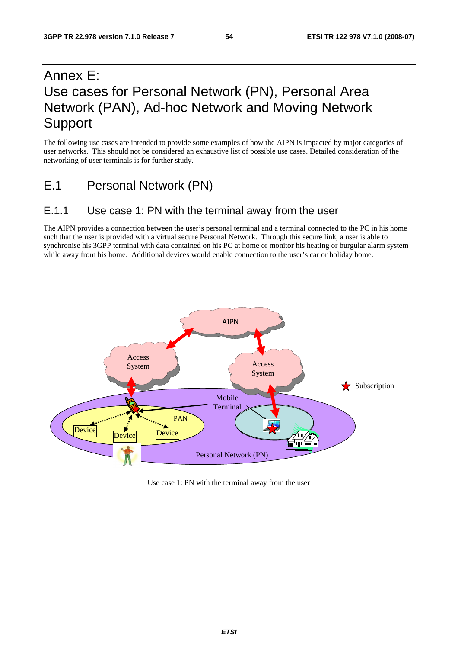## Annex E: Use cases for Personal Network (PN), Personal Area Network (PAN), Ad-hoc Network and Moving Network Support

The following use cases are intended to provide some examples of how the AIPN is impacted by major categories of user networks. This should not be considered an exhaustive list of possible use cases. Detailed consideration of the networking of user terminals is for further study.

E.1 Personal Network (PN)

## E.1.1 Use case 1: PN with the terminal away from the user

The AIPN provides a connection between the user's personal terminal and a terminal connected to the PC in his home such that the user is provided with a virtual secure Personal Network. Through this secure link, a user is able to synchronise his 3GPP terminal with data contained on his PC at home or monitor his heating or burgular alarm system while away from his home. Additional devices would enable connection to the user's car or holiday home.



Use case 1: PN with the terminal away from the user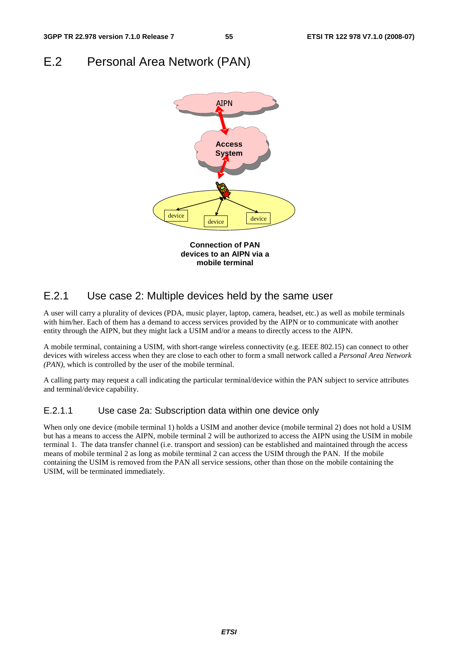## E.2 Personal Area Network (PAN)



## E.2.1 Use case 2: Multiple devices held by the same user

A user will carry a plurality of devices (PDA, music player, laptop, camera, headset, etc.) as well as mobile terminals with him/her. Each of them has a demand to access services provided by the AIPN or to communicate with another entity through the AIPN, but they might lack a USIM and/or a means to directly access to the AIPN.

A mobile terminal, containing a USIM, with short-range wireless connectivity (e.g. IEEE 802.15) can connect to other devices with wireless access when they are close to each other to form a small network called a *Personal Area Network (PAN),* which is controlled by the user of the mobile terminal.

A calling party may request a call indicating the particular terminal/device within the PAN subject to service attributes and terminal/device capability.

## E.2.1.1 Use case 2a: Subscription data within one device only

When only one device (mobile terminal 1) holds a USIM and another device (mobile terminal 2) does not hold a USIM but has a means to access the AIPN, mobile terminal 2 will be authorized to access the AIPN using the USIM in mobile terminal 1. The data transfer channel (i.e. transport and session) can be established and maintained through the access means of mobile terminal 2 as long as mobile terminal 2 can access the USIM through the PAN. If the mobile containing the USIM is removed from the PAN all service sessions, other than those on the mobile containing the USIM, will be terminated immediately.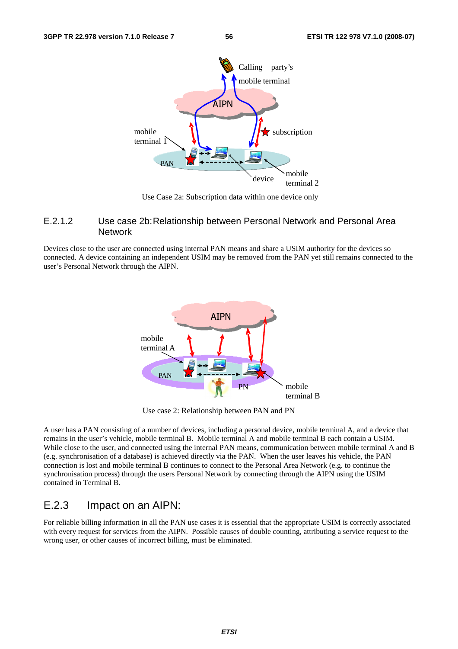

Use Case 2a: Subscription data within one device only

### E.2.1.2 Use case 2b: Relationship between Personal Network and Personal Area **Network**

Devices close to the user are connected using internal PAN means and share a USIM authority for the devices so connected. A device containing an independent USIM may be removed from the PAN yet still remains connected to the user's Personal Network through the AIPN.



Use case 2: Relationship between PAN and PN

A user has a PAN consisting of a number of devices, including a personal device, mobile terminal A, and a device that remains in the user's vehicle, mobile terminal B. Mobile terminal A and mobile terminal B each contain a USIM. While close to the user, and connected using the internal PAN means, communication between mobile terminal A and B (e.g. synchronisation of a database) is achieved directly via the PAN. When the user leaves his vehicle, the PAN connection is lost and mobile terminal B continues to connect to the Personal Area Network (e.g. to continue the synchronisation process) through the users Personal Network by connecting through the AIPN using the USIM contained in Terminal B.

## E.2.3 Impact on an AIPN:

For reliable billing information in all the PAN use cases it is essential that the appropriate USIM is correctly associated with every request for services from the AIPN. Possible causes of double counting, attributing a service request to the wrong user, or other causes of incorrect billing, must be eliminated.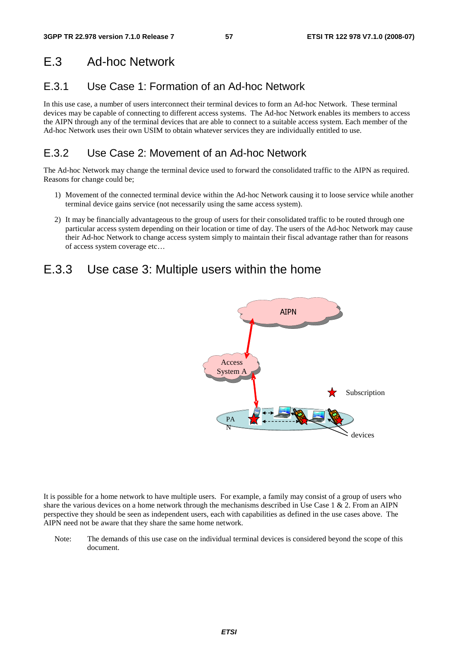## E.3 Ad-hoc Network

## E.3.1 Use Case 1: Formation of an Ad-hoc Network

In this use case, a number of users interconnect their terminal devices to form an Ad-hoc Network. These terminal devices may be capable of connecting to different access systems. The Ad-hoc Network enables its members to access the AIPN through any of the terminal devices that are able to connect to a suitable access system. Each member of the Ad-hoc Network uses their own USIM to obtain whatever services they are individually entitled to use.

## E.3.2 Use Case 2: Movement of an Ad-hoc Network

The Ad-hoc Network may change the terminal device used to forward the consolidated traffic to the AIPN as required. Reasons for change could be;

- 1) Movement of the connected terminal device within the Ad-hoc Network causing it to loose service while another terminal device gains service (not necessarily using the same access system).
- 2) It may be financially advantageous to the group of users for their consolidated traffic to be routed through one particular access system depending on their location or time of day. The users of the Ad-hoc Network may cause their Ad-hoc Network to change access system simply to maintain their fiscal advantage rather than for reasons of access system coverage etc…

## E.3.3 Use case 3: Multiple users within the home



It is possible for a home network to have multiple users. For example, a family may consist of a group of users who share the various devices on a home network through the mechanisms described in Use Case  $1 \& 2$ . From an AIPN perspective they should be seen as independent users, each with capabilities as defined in the use cases above. The AIPN need not be aware that they share the same home network.

Note: The demands of this use case on the individual terminal devices is considered beyond the scope of this document.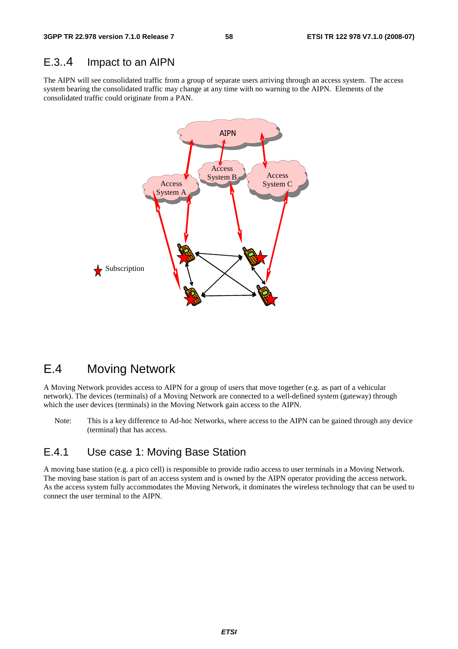## E.3..4 Impact to an AIPN

The AIPN will see consolidated traffic from a group of separate users arriving through an access system. The access system bearing the consolidated traffic may change at any time with no warning to the AIPN. Elements of the consolidated traffic could originate from a PAN.



## E.4 Moving Network

A Moving Network provides access to AIPN for a group of users that move together (e.g. as part of a vehicular network). The devices (terminals) of a Moving Network are connected to a well-defined system (gateway) through which the user devices (terminals) in the Moving Network gain access to the AIPN.

Note: This is a key difference to Ad-hoc Networks, where access to the AIPN can be gained through any device (terminal) that has access.

## E.4.1 Use case 1: Moving Base Station

A moving base station (e.g. a pico cell) is responsible to provide radio access to user terminals in a Moving Network. The moving base station is part of an access system and is owned by the AIPN operator providing the access network. As the access system fully accommodates the Moving Network, it dominates the wireless technology that can be used to connect the user terminal to the AIPN.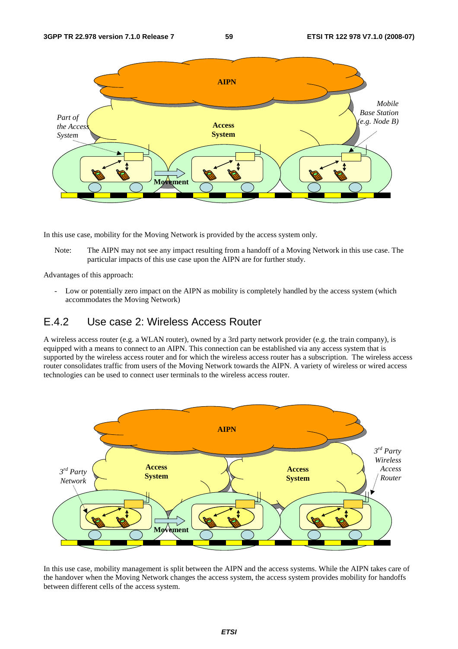

In this use case, mobility for the Moving Network is provided by the access system only.

Note: The AIPN may not see any impact resulting from a handoff of a Moving Network in this use case. The particular impacts of this use case upon the AIPN are for further study.

Advantages of this approach:

- Low or potentially zero impact on the AIPN as mobility is completely handled by the access system (which accommodates the Moving Network)

## E.4.2 Use case 2: Wireless Access Router

A wireless access router (e.g. a WLAN router), owned by a 3rd party network provider (e.g. the train company), is equipped with a means to connect to an AIPN. This connection can be established via any access system that is supported by the wireless access router and for which the wireless access router has a subscription. The wireless access router consolidates traffic from users of the Moving Network towards the AIPN. A variety of wireless or wired access technologies can be used to connect user terminals to the wireless access router.



In this use case, mobility management is split between the AIPN and the access systems. While the AIPN takes care of the handover when the Moving Network changes the access system, the access system provides mobility for handoffs between different cells of the access system.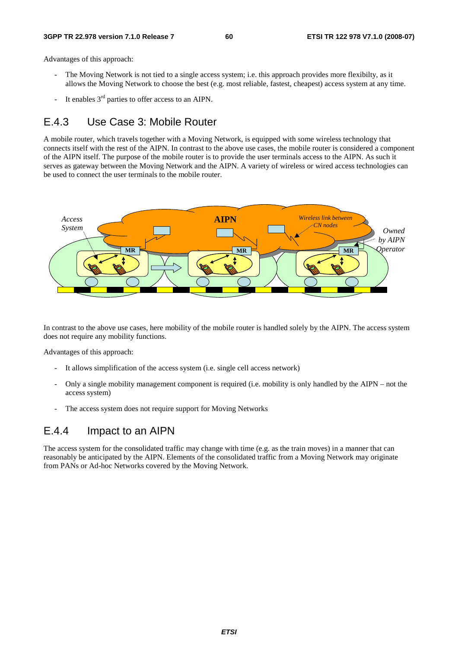#### **3GPP TR 22.978 version 7.1.0 Release 7 60 ETSI TR 122 978 V7.1.0 (2008-07)**

Advantages of this approach:

- The Moving Network is not tied to a single access system; i.e. this approach provides more flexibilty, as it allows the Moving Network to choose the best (e.g. most reliable, fastest, cheapest) access system at any time.
- It enables  $3<sup>rd</sup>$  parties to offer access to an AIPN.

## E.4.3 Use Case 3: Mobile Router

A mobile router, which travels together with a Moving Network, is equipped with some wireless technology that connects itself with the rest of the AIPN. In contrast to the above use cases, the mobile router is considered a component of the AIPN itself. The purpose of the mobile router is to provide the user terminals access to the AIPN. As such it serves as gateway between the Moving Network and the AIPN. A variety of wireless or wired access technologies can be used to connect the user terminals to the mobile router.



In contrast to the above use cases, here mobility of the mobile router is handled solely by the AIPN. The access system does not require any mobility functions.

Advantages of this approach:

- It allows simplification of the access system (i.e. single cell access network)
- Only a single mobility management component is required (i.e. mobility is only handled by the AIPN not the access system)
- The access system does not require support for Moving Networks

## E.4.4 Impact to an AIPN

The access system for the consolidated traffic may change with time (e.g. as the train moves) in a manner that can reasonably be anticipated by the AIPN. Elements of the consolidated traffic from a Moving Network may originate from PANs or Ad-hoc Networks covered by the Moving Network.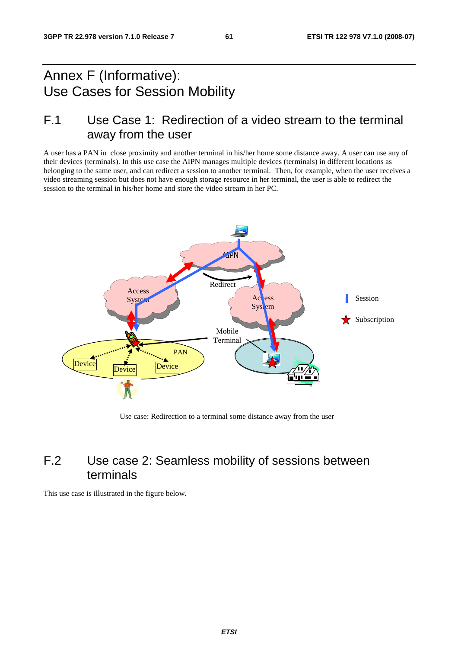## Annex F (Informative): Use Cases for Session Mobility

## F.1 Use Case 1: Redirection of a video stream to the terminal away from the user

A user has a PAN in close proximity and another terminal in his/her home some distance away. A user can use any of their devices (terminals). In this use case the AIPN manages multiple devices (terminals) in different locations as belonging to the same user, and can redirect a session to another terminal. Then, for example, when the user receives a video streaming session but does not have enough storage resource in her terminal, the user is able to redirect the session to the terminal in his/her home and store the video stream in her PC.



Use case: Redirection to a terminal some distance away from the user

## F.2 Use case 2: Seamless mobility of sessions between terminals

This use case is illustrated in the figure below.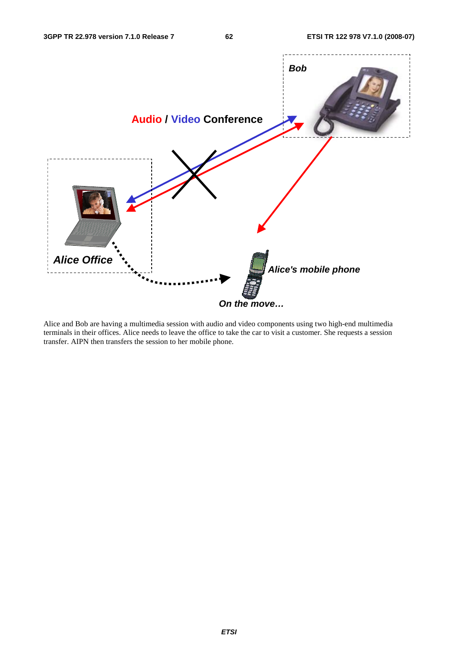

Alice and Bob are having a multimedia session with audio and video components using two high-end multimedia terminals in their offices. Alice needs to leave the office to take the car to visit a customer. She requests a session transfer. AIPN then transfers the session to her mobile phone.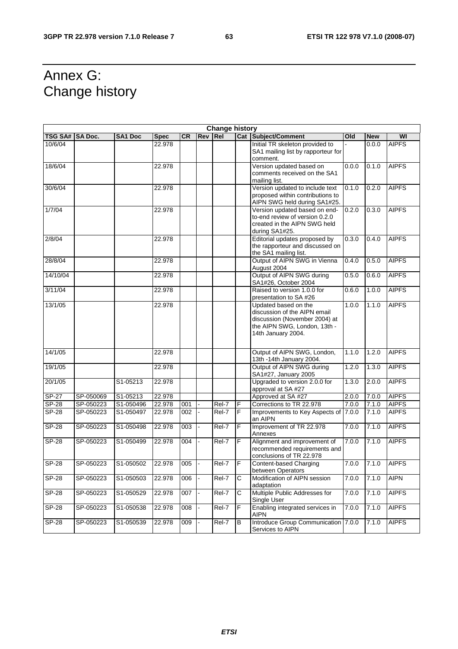## Annex G: Change history

|                | <b>Change history</b> |                |             |           |                |                     |              |                                                                                                                                             |       |            |              |
|----------------|-----------------------|----------------|-------------|-----------|----------------|---------------------|--------------|---------------------------------------------------------------------------------------------------------------------------------------------|-------|------------|--------------|
| <b>TSG SA#</b> | <b>SA Doc.</b>        | <b>SA1 Doc</b> | <b>Spec</b> | <b>CR</b> | <b>Rev</b>     | Rel                 |              | <b>Cat Subject/Comment</b>                                                                                                                  | Old   | <b>New</b> | WI           |
| 10/6/04        |                       |                | 22.978      |           |                |                     |              | Initial TR skeleton provided to<br>SA1 mailing list by rapporteur for<br>comment.                                                           |       | 0.0.0      | <b>AIPFS</b> |
| 18/6/04        |                       |                | 22.978      |           |                |                     |              | Version updated based on<br>comments received on the SA1<br>mailing list.                                                                   | 0.0.0 | 0.1.0      | <b>AIPFS</b> |
| 30/6/04        |                       |                | 22.978      |           |                |                     |              | Version updated to include text<br>proposed within contributions to<br>AIPN SWG held during SA1#25.                                         | 0.1.0 | 0.2.0      | <b>AIPFS</b> |
| 1/7/04         |                       |                | 22.978      |           |                |                     |              | Version updated based on end-<br>to-end review of version 0.2.0<br>created in the AIPN SWG held<br>during SA1#25.                           | 0.2.0 | 0.3.0      | <b>AIPFS</b> |
| 2/8/04         |                       |                | 22.978      |           |                |                     |              | Editorial updates proposed by<br>the rapporteur and discussed on<br>the SA1 mailing list.                                                   | 0.3.0 | 0.4.0      | <b>AIPFS</b> |
| 28/8/04        |                       |                | 22.978      |           |                |                     |              | Output of AIPN SWG in Vienna<br>August 2004                                                                                                 | 0.4.0 | 0.5.0      | <b>AIPFS</b> |
| 14/10/04       |                       |                | 22.978      |           |                |                     |              | Output of AIPN SWG during<br>SA1#26, October 2004                                                                                           | 0.5.0 | 0.6.0      | <b>AIPFS</b> |
| 3/11/04        |                       |                | 22.978      |           |                |                     |              | Raised to version 1.0.0 for<br>presentation to SA #26                                                                                       | 0.6.0 | 1.0.0      | <b>AIPFS</b> |
| 13/1/05        |                       |                | 22.978      |           |                |                     |              | Updated based on the<br>discussion of the AIPN email<br>discussion (November 2004) at<br>the AIPN SWG, London, 13th -<br>14th January 2004. | 1.0.0 | 1.1.0      | <b>AIPFS</b> |
| 14/1/05        |                       |                | 22.978      |           |                |                     |              | Output of AIPN SWG, London,<br>13th -14th January 2004.                                                                                     | 1.1.0 | 1.2.0      | <b>AIPFS</b> |
| 19/1/05        |                       |                | 22.978      |           |                |                     |              | Output of AIPN SWG during<br>SA1#27, January 2005                                                                                           | 1.2.0 | 1.3.0      | <b>AIPFS</b> |
| 20/1/05        |                       | S1-05213       | 22.978      |           |                |                     |              | Upgraded to version 2.0.0 for<br>approval at SA #27                                                                                         | 1.3.0 | 2.0.0      | <b>AIPFS</b> |
| $SP-27$        | SP-050069             | S1-05213       | 22.978      |           |                |                     |              | Approved at SA #27                                                                                                                          | 2.0.0 | 7.0.0      | <b>AIPFS</b> |
| <b>SP-28</b>   | SP-050223             | S1-050496      | 22.978      | 001       |                | Rel-7               | F            | Corrections to TR 22.978                                                                                                                    | 7.0.0 | 7.1.0      | <b>AIPFS</b> |
| <b>SP-28</b>   | SP-050223             | S1-050497      | 22.978      | 002       |                | Rel-7               | ĪF           | Improvements to Key Aspects of 7.0.0<br>an AIPN                                                                                             |       | 7.1.0      | <b>AIPFS</b> |
| $S P - 28$     | SP-050223             | S1-050498      | 22.978      | 003       | $\blacksquare$ | Rel-7               | F            | Improvement of TR 22.978<br>Annexes                                                                                                         | 7.0.0 | 7.1.0      | <b>AIPFS</b> |
| <b>SP-28</b>   | SP-050223             | S1-050499      | 22.978      | 004       |                | $\overline{Rel}$ -7 | F            | Alignment and improvement of<br>recommended requirements and<br>conclusions of TR 22.978                                                    | 7.0.0 | 7.1.0      | <b>AIPFS</b> |
| $SP-28$        | SP-050223             | S1-050502      | 22.978      | 005       |                | Rel-7               | IF           | Content-based Charging<br>between Operators                                                                                                 | 7.0.0 | 7.1.0      | <b>AIPFS</b> |
| $SP-28$        | SP-050223             | S1-050503      | 22.978      | 006       |                | $ReI-7$             | $\mathsf{C}$ | Modification of AIPN session<br>adaptation                                                                                                  | 7.0.0 | 7.1.0      | <b>AIPN</b>  |
| $SP-28$        | SP-050223             | S1-050529      | 22.978      | 007       |                | Rel-7               | C            | Multiple Public Addresses for<br>Single User                                                                                                | 7.0.0 | 7.1.0      | <b>AIPFS</b> |
| $SP-28$        | SP-050223             | S1-050538      | 22.978      | 008       |                | Rel-7               | F            | Enabling integrated services in<br>AIPN                                                                                                     | 7.0.0 | 7.1.0      | <b>AIPFS</b> |
| <b>SP-28</b>   | SP-050223             | S1-050539      | 22.978      | 009       |                | Rel-7               | B            | Introduce Group Communication 7.0.0<br>Services to AIPN                                                                                     |       | 7.1.0      | <b>AIPFS</b> |